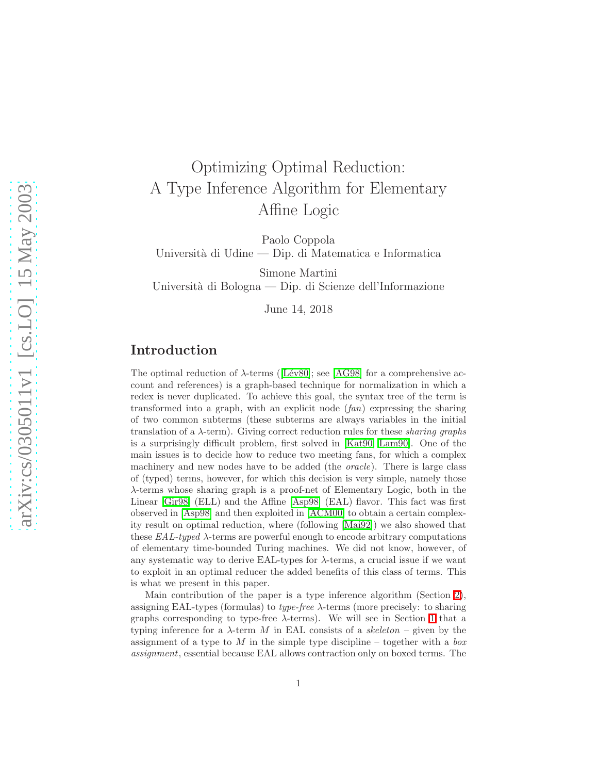# Optimizing Optimal Reduction: A Type Inference Algorithm for Elementary Affine Logic

Paolo Coppola Universit`a di Udine — Dip. di Matematica e Informatica

Simone Martini Università di Bologna — Dip. di Scienze dell'Informazione

June 14, 2018

# Introduction

Theoptimal reduction of  $\lambda$ -terms ([Lév80]; see [\[AG98\]](#page-41-0) for a comprehensive account and references) is a graph-based technique for normalization in which a redex is never duplicated. To achieve this goal, the syntax tree of the term is transformed into a graph, with an explicit node  $(fan)$  expressing the sharing of two common subterms (these subterms are always variables in the initial translation of a  $\lambda$ -term). Giving correct reduction rules for these *sharing graphs* is a surprisingly difficult problem, first solved in [\[Kat90,](#page-42-1) [Lam90\]](#page-42-2). One of the main issues is to decide how to reduce two meeting fans, for which a complex machinery and new nodes have to be added (the *oracle*). There is large class of (typed) terms, however, for which this decision is very simple, namely those λ-terms whose sharing graph is a proof-net of Elementary Logic, both in the Linear [\[Gir98\]](#page-42-3) (ELL) and the Affine [\[Asp98\]](#page-41-1) (EAL) flavor. This fact was first observed in [\[Asp98\]](#page-41-1) and then exploited in [\[ACM00\]](#page-41-2) to obtain a certain complexity result on optimal reduction, where (following [\[Mai92\]](#page-42-4)) we also showed that these  $EAL-typed$   $\lambda$ -terms are powerful enough to encode arbitrary computations of elementary time-bounded Turing machines. We did not know, however, of any systematic way to derive EAL-types for  $\lambda$ -terms, a crucial issue if we want to exploit in an optimal reducer the added benefits of this class of terms. This is what we present in this paper.

Main contribution of the paper is a type inference algorithm (Section [2\)](#page-7-0), assigning EAL-types (formulas) to *type-free*  $\lambda$ -terms (more precisely: to sharing graphs corresponding to type-free  $\lambda$ -terms). We will see in Section [1](#page-1-0) that a typing inference for a  $\lambda$ -term M in EAL consists of a skeleton – given by the assignment of a type to M in the simple type discipline – together with a box assignment, essential because EAL allows contraction only on boxed terms. The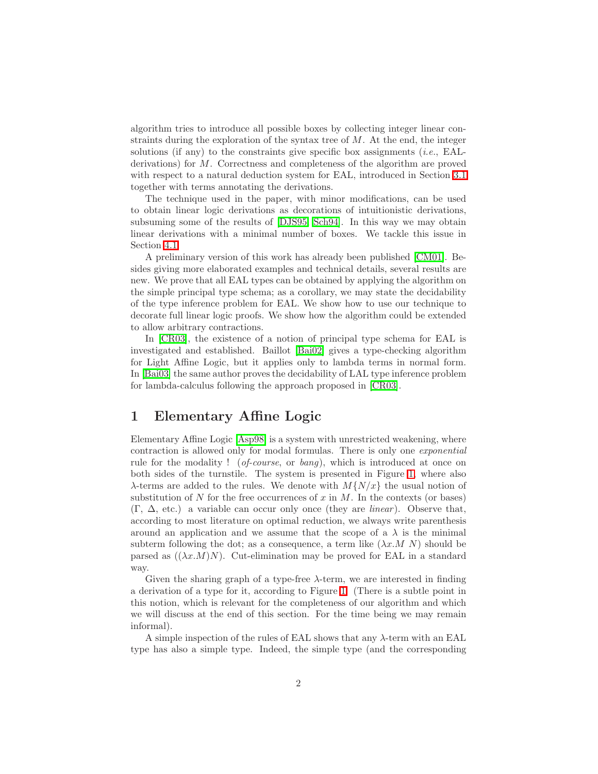algorithm tries to introduce all possible boxes by collecting integer linear constraints during the exploration of the syntax tree of M. At the end, the integer solutions (if any) to the constraints give specific box assignments (*i.e.*, EALderivations) for M. Correctness and completeness of the algorithm are proved with respect to a natural deduction system for EAL, introduced in Section [3.1](#page-26-0) together with terms annotating the derivations.

The technique used in the paper, with minor modifications, can be used to obtain linear logic derivations as decorations of intuitionistic derivations, subsuming some of the results of [\[DJS95,](#page-42-5) [Sch94\]](#page-42-6). In this way we may obtain linear derivations with a minimal number of boxes. We tackle this issue in Section [4.1.](#page-39-0)

A preliminary version of this work has already been published [\[CM01\]](#page-41-3). Besides giving more elaborated examples and technical details, several results are new. We prove that all EAL types can be obtained by applying the algorithm on the simple principal type schema; as a corollary, we may state the decidability of the type inference problem for EAL. We show how to use our technique to decorate full linear logic proofs. We show how the algorithm could be extended to allow arbitrary contractions.

In [\[CR03\]](#page-41-4), the existence of a notion of principal type schema for EAL is investigated and established. Baillot [\[Bai02\]](#page-41-5) gives a type-checking algorithm for Light Affine Logic, but it applies only to lambda terms in normal form. In [\[Bai03\]](#page-41-6) the same author proves the decidability of LAL type inference problem for lambda-calculus following the approach proposed in [\[CR03\]](#page-41-4).

# <span id="page-1-0"></span>1 Elementary Affine Logic

Elementary Affine Logic [\[Asp98\]](#page-41-1) is a system with unrestricted weakening, where contraction is allowed only for modal formulas. There is only one exponential rule for the modality ! (*of-course*, or *bang*), which is introduced at once on both sides of the turnstile. The system is presented in Figure [1,](#page-2-0) where also  $\lambda$ -terms are added to the rules. We denote with  $M\{N/x\}$  the usual notion of substitution of N for the free occurrences of  $x$  in  $M$ . In the contexts (or bases)  $(\Gamma, \Delta, \text{ etc.})$  a variable can occur only once (they are *linear*). Observe that, according to most literature on optimal reduction, we always write parenthesis around an application and we assume that the scope of a  $\lambda$  is the minimal subterm following the dot; as a consequence, a term like  $(\lambda x.M N)$  should be parsed as  $((\lambda x.M)N)$ . Cut-elimination may be proved for EAL in a standard way.

Given the sharing graph of a type-free  $\lambda$ -term, we are interested in finding a derivation of a type for it, according to Figure [1.](#page-2-0) (There is a subtle point in this notion, which is relevant for the completeness of our algorithm and which we will discuss at the end of this section. For the time being we may remain informal).

A simple inspection of the rules of EAL shows that any  $\lambda$ -term with an EAL type has also a simple type. Indeed, the simple type (and the corresponding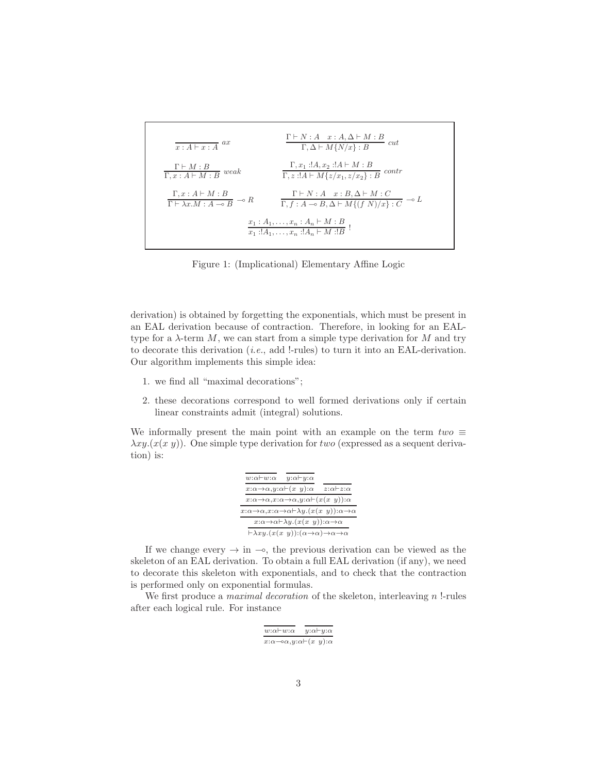$$
\frac{\Gamma \vdash N : A \quad x : A, \Delta \vdash M : B}{\Gamma, \Delta \vdash M \{N/x\} : B} \quad cut
$$
\n
$$
\frac{\Gamma \vdash M : B}{\Gamma, x : A \vdash M : B} \quad weak \qquad \frac{\Gamma, x_1 : !A, x_2 : !A \vdash M : B}{\Gamma, z : !A \vdash M \{z/x_1, z/x_2\} : B} \quad contr
$$
\n
$$
\frac{\Gamma, x : A \vdash M : B}{\Gamma \vdash \lambda x . M : A \multimap B} \multimap R \qquad \frac{\Gamma \vdash N : A \quad x : B, \Delta \vdash M : C}{\Gamma, f : A \multimap B, \Delta \vdash M \{ (f \ N)/x \} : C} \multimap L
$$
\n
$$
\frac{x_1 : A_1, \dots, x_n : A_n \vdash M : B}{x_1 : !A_1, \dots, x_n : !A_n \vdash M : !B} !
$$

<span id="page-2-0"></span>Figure 1: (Implicational) Elementary Affine Logic

derivation) is obtained by forgetting the exponentials, which must be present in an EAL derivation because of contraction. Therefore, in looking for an EALtype for a  $\lambda$ -term  $M$ , we can start from a simple type derivation for  $M$  and try to decorate this derivation (i.e., add !-rules) to turn it into an EAL-derivation. Our algorithm implements this simple idea:

- 1. we find all "maximal decorations";
- 2. these decorations correspond to well formed derivations only if certain linear constraints admit (integral) solutions.

We informally present the main point with an example on the term  $two \equiv$  $\lambda xy.(x(x y))$ . One simple type derivation for two (expressed as a sequent derivation) is:

| $w:\alpha \vdash w:\alpha$<br>$y:\alpha \vdash y:\alpha$                                        |                            |  |
|-------------------------------------------------------------------------------------------------|----------------------------|--|
| $x:\alpha \rightarrow \alpha, y:\alpha \vdash (x \ y):\alpha$                                   | $z:\alpha \vdash z:\alpha$ |  |
| $x:\alpha \to \alpha, x:\alpha \to \alpha, y:\alpha \vdash (x(x, y)):\alpha$                    |                            |  |
| $x:\alpha\to\alpha, x:\alpha\to\alpha\vdash\lambda y.(x(x\ y)):\alpha\to\alpha$                 |                            |  |
| $x:\alpha \to \alpha \vdash \lambda y.(x(x, y)):\alpha \to \alpha$                              |                            |  |
| $\vdash \lambda xy.(x(x, y)):(\alpha \rightarrow \alpha) \rightarrow \alpha \rightarrow \alpha$ |                            |  |

If we change every  $\rightarrow$  in  $\rightarrow$ , the previous derivation can be viewed as the skeleton of an EAL derivation. To obtain a full EAL derivation (if any), we need to decorate this skeleton with exponentials, and to check that the contraction is performed only on exponential formulas.

We first produce a *maximal decoration* of the skeleton, interleaving  $n$  !-rules after each logical rule. For instance

| $w:\alpha \vdash w:\alpha$                                    | $y:\alpha \vdash y:\alpha$ |  |
|---------------------------------------------------------------|----------------------------|--|
| $x:\alpha \rightarrow \alpha, y:\alpha \vdash (x \ y):\alpha$ |                            |  |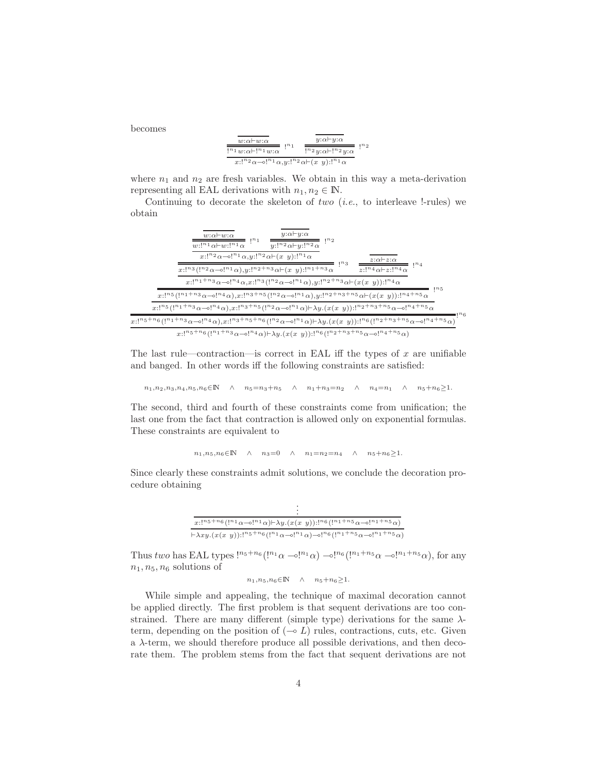becomes

| $w:\alpha\vdash w:\alpha$<br>$n_1$                                                                                                                                                                 | $y:\alpha \vdash y:\alpha$              | $n_{2}$ |
|----------------------------------------------------------------------------------------------------------------------------------------------------------------------------------------------------|-----------------------------------------|---------|
| $\mathbf{I}^{n_1} w \mathbf{:} \alpha \vdash \mathbf{I}^{n_1} w \mathbf{:} \alpha$                                                                                                                 | $!^{n_2}v:\alpha\vdash !^{n_2}v:\alpha$ |         |
| $x: \mathbb{R}^n \times \mathbb{R}^n \to \mathbb{R}^n \times \mathbb{R}^n \times \mathbb{R}^n \times \mathbb{R}^n \times \mathbb{R}^n \times \mathbb{R}^n \times \mathbb{R}^n \times \mathbb{R}^n$ |                                         |         |

where  $n_1$  and  $n_2$  are fresh variables. We obtain in this way a meta-derivation representing all EAL derivations with  $n_1, n_2 \in \mathbb{N}$ .

Continuing to decorate the skeleton of two  $(i.e.,$  to interleave !-rules) we obtain

| $y:\alpha \vdash y:\alpha$<br>$w:\alpha\vdash w:\alpha$<br>$w\!:\!!{}^{n_1}\alpha\vdash w\!:\!!{}^{n_1}\alpha$<br>$y$ :!" $^2\alpha$ + $y$ :!" $^2\alpha$                                                                                                                                                                                                                                        |
|--------------------------------------------------------------------------------------------------------------------------------------------------------------------------------------------------------------------------------------------------------------------------------------------------------------------------------------------------------------------------------------------------|
| $x: \mathbb{R}^n \times \mathbb{R}^n \to \mathbb{R}^n \times \mathbb{R}^n \times \mathbb{R}^n \times \mathbb{R}^n \times \mathbb{R}^n \times \mathbb{R}^n \times \mathbb{R}^n \times \mathbb{R}^n$<br>$z:\alpha \rightarrow z:\alpha$<br>$x: \binom{n_3}{1 \cdots 2 \alpha - \circ \binom{n_1}{\alpha}, y: \binom{n_2 + n_3}{\alpha - \alpha}}$<br>$z$ :' $n_4$ $\alpha$ + $z$ :' $n_4$ $\alpha$ |
| $x: [n_1+n_3 \alpha - \circ]^{n_4} \alpha, x: [n_3 (1^{n_2} \alpha - \circ]^{n_1} \alpha), y: [n_2+n_3 \alpha + (x(x,y))]^{n_4} \alpha$<br>$x: \binom{n_5}{1^n} \binom{n_1+n_3}{\alpha-\circ} \binom{n_4}{\alpha}, x: \binom{n_3+n_5}{1^n} \binom{n_2}{\alpha-\circ} \binom{n_1}{\alpha}, y: \binom{n_2+n_3+n_5}{\alpha-\circ} \binom{n_4+n_5}{\alpha}$                                          |
| $x: \binom{n_5}{1^n} \binom{n_1+n_3}{\alpha-\circ} \binom{n_4}{\alpha}, x: \binom{n_3+n_5}{1^n} \binom{n_2}{\alpha-\circ} \binom{n_1}{\alpha} \vdash \lambda y. (x(x \ y)): \binom{n_2+n_3+n_5}{\alpha-\circ} \binom{n_4+n_5}{\alpha-\circ}$                                                                                                                                                     |
| $x::^{n_{5}+n_{6}}(!^{n_{1}+n_{3}}\alpha-\circ !^{n_{4}}\alpha),x::^{n_{3}+n_{5}+n_{6}}(!^{n_{2}}\alpha-\circ !^{n_{1}}\alpha)\vdash\lambda y.(x(x\ y))::^{n_{6}}(!^{n_{2}+n_{3}+n_{5}}\alpha-\circ !^{n_{4}+n_{5}}\alpha)$<br>$x: \binom{n_5+n_6}{1^n1+n_3} \alpha \infty \binom{n_4}{1} \mapsto \lambda y \cdot (x(x, y)) : \binom{n_6}{1^n2+n_3+n_5} \alpha \infty \binom{n_4+n_5}{1}$        |

The last rule—contraction—is correct in EAL iff the types of  $x$  are unifiable and banged. In other words iff the following constraints are satisfied:

 $n_1,n_2,n_3,n_4,n_5,n_6 \in \mathbb{N} \quad \land \quad n_5=n_3+n_5 \quad \land \quad n_1+n_3=n_2 \quad \land \quad n_4=n_1 \quad \land \quad n_5+n_6 \geq 1.$ 

The second, third and fourth of these constraints come from unification; the last one from the fact that contraction is allowed only on exponential formulas. These constraints are equivalent to

$$
n_1, n_5, n_6 \in \mathbb{N} \quad \wedge \quad n_3 = 0 \quad \wedge \quad n_1 = n_2 = n_4 \quad \wedge \quad n_5 + n_6 \ge 1.
$$

Since clearly these constraints admit solutions, we conclude the decoration procedure obtaining

| $x!^{n_5+n_6}$ $(!^{n_1}\alpha-\circ!^{n_1}\alpha) \mapsto \lambda y.(x(x\ y))$ : $!^{n_6}$ $(!^{n_1+n_5}\alpha-\circ!^{n_1+n_5}\alpha)$                                                                  |
|-----------------------------------------------------------------------------------------------------------------------------------------------------------------------------------------------------------|
| $\vdash \lambda xy.(x(x y))$ : $\binom{n_5+n_6}{1 \cdot \alpha}$ $\ldots$ , $\binom{n_1}{\alpha}$ $\ldots$ , $\binom{n_6}{1 \cdot \alpha}$ $\binom{n_1+n_5}{\alpha}$ $\ldots$ , $\binom{n_1+n_5}{\alpha}$ |

Thus two has EAL types  $\binom{n_5+n_6}{1^n}$   $\alpha \to \binom{n_1}{0}$   $\beta \in \binom{n_1+n_5}{0}$   $\alpha \to \binom{n_1+n_5}{0}$ , for any  $n_1, n_5, n_6$  solutions of

 $n_1,n_5,n_6 \!\!\in\!\!\mathbb{N} \quad \land \quad n_5\!+\!n_6\!\geq\!1.$ 

While simple and appealing, the technique of maximal decoration cannot be applied directly. The first problem is that sequent derivations are too constrained. There are many different (simple type) derivations for the same  $\lambda$ term, depending on the position of  $(\neg b L)$  rules, contractions, cuts, etc. Given a  $\lambda$ -term, we should therefore produce all possible derivations, and then decorate them. The problem stems from the fact that sequent derivations are not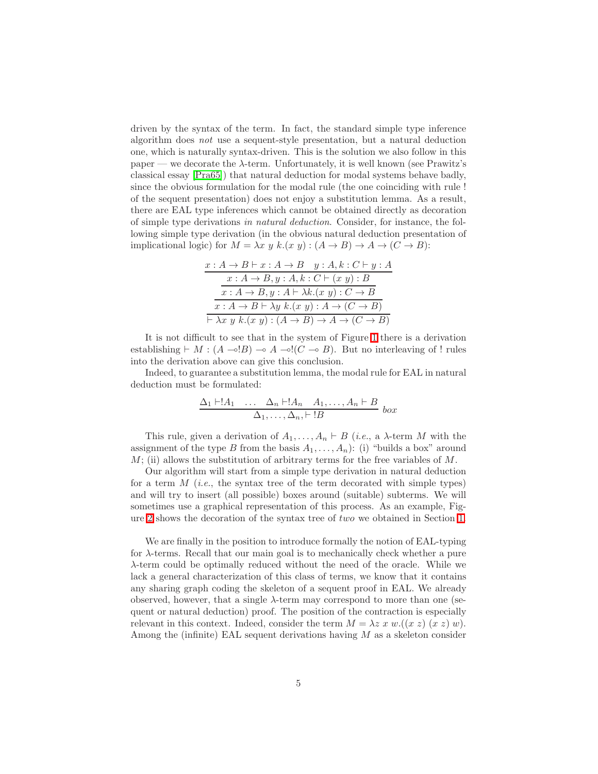driven by the syntax of the term. In fact, the standard simple type inference algorithm does not use a sequent-style presentation, but a natural deduction one, which is naturally syntax-driven. This is the solution we also follow in this paper — we decorate the  $\lambda$ -term. Unfortunately, it is well known (see Prawitz's classical essay [\[Pra65\]](#page-42-7)) that natural deduction for modal systems behave badly, since the obvious formulation for the modal rule (the one coinciding with rule ! of the sequent presentation) does not enjoy a substitution lemma. As a result, there are EAL type inferences which cannot be obtained directly as decoration of simple type derivations in natural deduction. Consider, for instance, the following simple type derivation (in the obvious natural deduction presentation of implicational logic) for  $M = \lambda x y k.(x y) : (A \rightarrow B) \rightarrow A \rightarrow (C \rightarrow B)$ :

| $x:A\to B\vdash x:A\to B\quad y:A,k:C\vdash y:A$                                                   |
|----------------------------------------------------------------------------------------------------|
| $x:A\rightarrow B, y:A, k:C\vdash (x\ y):B$                                                        |
| $x:A\to B, y:A\vdash \lambda k.(x\ y):C\to B$                                                      |
| $x: A \to B \vdash \lambda y \; k.(x \; y): A \to (C \to B)$                                       |
| $\vdash \lambda x \ y \ k.(x \ y) : (A \rightarrow B) \rightarrow A \rightarrow (C \rightarrow B)$ |

It is not difficult to see that in the system of Figure [1](#page-2-0) there is a derivation establishing  $\vdash M : (A \multimap !B) \multimap A \multimap !(C \multimap B)$ . But no interleaving of ! rules into the derivation above can give this conclusion.

Indeed, to guarantee a substitution lemma, the modal rule for EAL in natural deduction must be formulated:

$$
\frac{\Delta_1 \vdash !A_1 \quad \dots \quad \Delta_n \vdash !A_n \quad A_1, \dots, A_n \vdash B}{\Delta_1, \dots, \Delta_n, \vdash !B} \text{ box}
$$

This rule, given a derivation of  $A_1, \ldots, A_n \vdash B$  (*i.e.*, a  $\lambda$ -term M with the assignment of the type B from the basis  $A_1, \ldots, A_n$ : (i) "builds a box" around  $M$ ; (ii) allows the substitution of arbitrary terms for the free variables of  $M$ .

Our algorithm will start from a simple type derivation in natural deduction for a term  $M$  (*i.e.*, the syntax tree of the term decorated with simple types) and will try to insert (all possible) boxes around (suitable) subterms. We will sometimes use a graphical representation of this process. As an example, Figure [2](#page-5-0) shows the decoration of the syntax tree of two we obtained in Section [1.](#page-1-0)

We are finally in the position to introduce formally the notion of EAL-typing for λ-terms. Recall that our main goal is to mechanically check whether a pure λ-term could be optimally reduced without the need of the oracle. While we lack a general characterization of this class of terms, we know that it contains any sharing graph coding the skeleton of a sequent proof in EAL. We already observed, however, that a single  $\lambda$ -term may correspond to more than one (sequent or natural deduction) proof. The position of the contraction is especially relevant in this context. Indeed, consider the term  $M = \lambda z \ x \ w.((x z) (x z) w)$ . Among the (infinite) EAL sequent derivations having  $M$  as a skeleton consider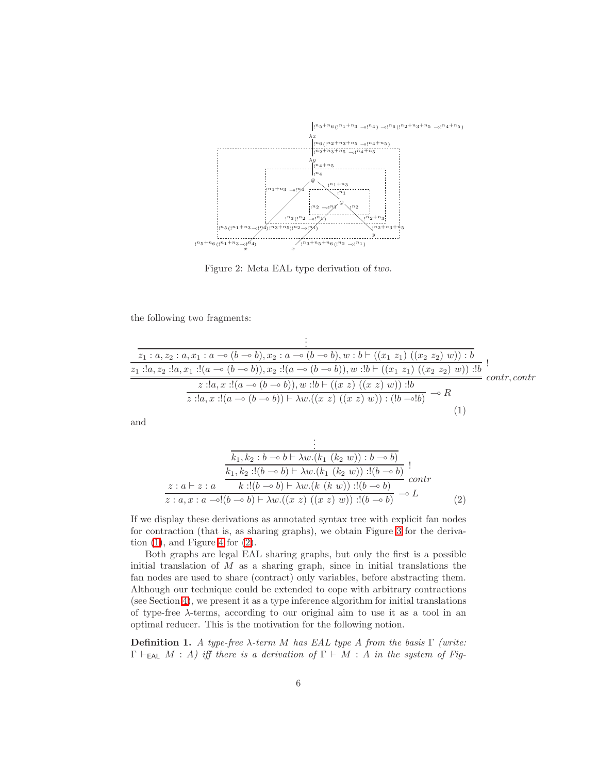

<span id="page-5-1"></span><span id="page-5-0"></span>Figure 2: Meta EAL type derivation of two.

the following two fragments:

$$
\frac{\vdots}{z_1 : a, z_2 : a, x_1 : a \to (b \to b), x_2 : a \to (b \to b), w : b \vdash ((x_1 z_1) ((x_2 z_2) w)) : b}
$$
\n
$$
\frac{z_1 : !a, z_2 : !a, x_1 : !(a \to (b \to b)), x_2 : !(a \to (b \to b)), w : !b \vdash ((x_1 z_1) ((x_2 z_2) w)) : !b}{z : !a, x : !(a \to (b \to b)), w : !b \vdash ((x z) ((x z) w)) : !b} \cdot \frac{\cdot}{z} \cdot \frac{\cdot}{z : !a, x : !(a \to (b \to b)) \vdash \lambda w \cdot ((x z) ((x z) w)) : !b} \cdot \frac{\cdot}{z * !b}
$$
\n
$$
(1)
$$

<span id="page-5-2"></span>and

$$
\frac{\frac{1}{k_1, k_2 : b \to b \mapsto \lambda w.(k_1 (k_2 w)) : b \to b)}}{\frac{k_1, k_2 : !(b \to b) \mapsto \lambda w.(k_1 (k_2 w)) : !(b \to b)}{\frac{k_1, k_2 : !(b \to b) \mapsto \lambda w.(k_1 (k_2 w)) : !(b \to b)}{\frac{k_1, k_2 : a \to b \mapsto \lambda w.(k (k w)) : !(b \to b)}{\frac{k_1, k_2 : b \to b \mapsto \lambda w.(k (k w)) : !(b \to b)}{\frac{k_1, k_2 : b \to b \mapsto \lambda w.(k (k w)) : !(b \to b)}}}}.
$$
\n(2)

If we display these derivations as annotated syntax tree with explicit fan nodes for contraction (that is, as sharing graphs), we obtain Figure [3](#page-6-0) for the derivation  $(1)$ , and Figure [4](#page-6-1) for  $(2)$ .

Both graphs are legal EAL sharing graphs, but only the first is a possible initial translation of  $M$  as a sharing graph, since in initial translations the fan nodes are used to share (contract) only variables, before abstracting them. Although our technique could be extended to cope with arbitrary contractions (see Section [4\)](#page-38-0), we present it as a type inference algorithm for initial translations of type-free  $\lambda$ -terms, according to our original aim to use it as a tool in an optimal reducer. This is the motivation for the following notion.

<span id="page-5-3"></span>**Definition 1.** A type-free  $λ$ -term M has EAL type A from the basis  $Γ$  (write:  $\Gamma \vdash_{\mathsf{EAL}} M : A$ ) iff there is a derivation of  $\Gamma \vdash M : A$  in the system of Fig-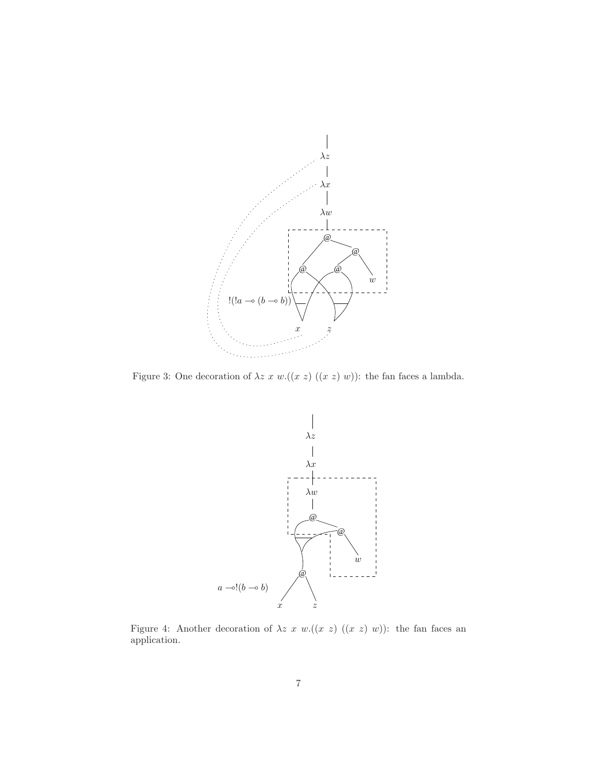

<span id="page-6-0"></span>Figure 3: One decoration of  $\lambda z \ x \ w.((x \ z) \ ((x \ z) \ w))$ : the fan faces a lambda.



<span id="page-6-1"></span>Figure 4: Another decoration of  $\lambda z$  x w.((x z) ((x z) w)): the fan faces an application.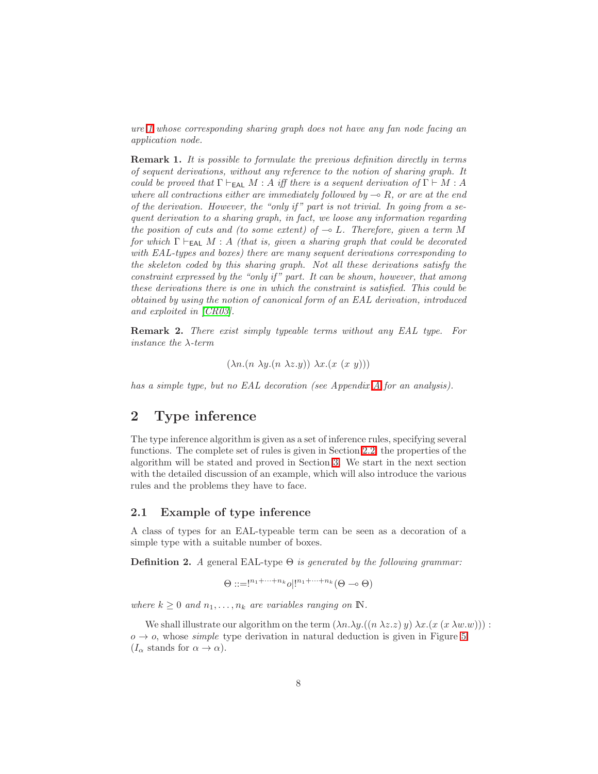ure [1](#page-2-0) whose corresponding sharing graph does not have any fan node facing an application node.

Remark 1. It is possible to formulate the previous definition directly in terms of sequent derivations, without any reference to the notion of sharing graph. It could be proved that  $\Gamma \vdash_{\mathsf{EAL}} M : A$  iff there is a sequent derivation of  $\Gamma \vdash M : A$ where all contractions either are immediately followed by  $\multimap R$ , or are at the end of the derivation. However, the "only if " part is not trivial. In going from a sequent derivation to a sharing graph, in fact, we loose any information regarding the position of cuts and (to some extent) of  $\sim$  L. Therefore, given a term M for which  $\Gamma \vdash_{\mathsf{EAL}} M : A$  (that is, given a sharing graph that could be decorated with EAL-types and boxes) there are many sequent derivations corresponding to the skeleton coded by this sharing graph. Not all these derivations satisfy the constraint expressed by the "only if" part. It can be shown, however, that among these derivations there is one in which the constraint is satisfied. This could be obtained by using the notion of canonical form of an EAL derivation, introduced and exploited in [\[CR03\]](#page-41-4).

Remark 2. There exist simply typeable terms without any EAL type. For instance the λ-term

 $(\lambda n.(n \lambda y.(n \lambda z.y)) \lambda x.(x (x y)))$ 

has a simple type, but no EAL decoration (see Appendix [A](#page-42-8) for an analysis).

# <span id="page-7-0"></span>2 Type inference

The type inference algorithm is given as a set of inference rules, specifying several functions. The complete set of rules is given in Section [2.2;](#page-21-0) the properties of the algorithm will be stated and proved in Section [3.](#page-26-1) We start in the next section with the detailed discussion of an example, which will also introduce the various rules and the problems they have to face.

### <span id="page-7-2"></span>2.1 Example of type inference

<span id="page-7-1"></span>A class of types for an EAL-typeable term can be seen as a decoration of a simple type with a suitable number of boxes.

**Definition 2.** A general EAL-type  $\Theta$  is generated by the following grammar:

$$
\Theta ::= !^{n_1 + \dots + n_k} o | !^{n_1 + \dots + n_k} (\Theta \multimap \Theta)
$$

where  $k \geq 0$  and  $n_1, \ldots, n_k$  are variables ranging on  $\mathbb{N}$ .

We shall illustrate our algorithm on the term  $(\lambda n.\lambda y.((n \lambda z. z) y) \lambda x.(x (x \lambda w. w)))$ :  $o \rightarrow o$ , whose *simple* type derivation in natural deduction is given in Figure [5](#page-8-0)  $(I_{\alpha}$  stands for  $\alpha \rightarrow \alpha$ ).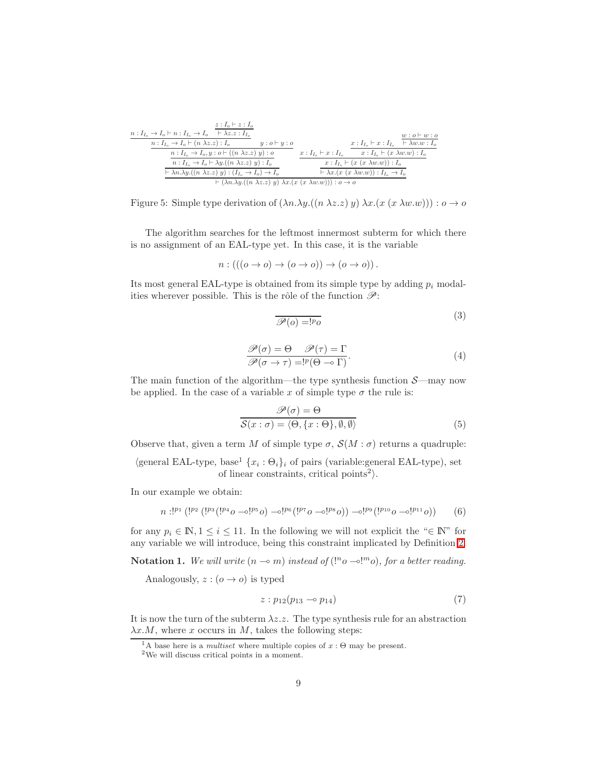| $z: I_o \vdash z: I_o$                                                                             |                                                                               |
|----------------------------------------------------------------------------------------------------|-------------------------------------------------------------------------------|
| $n: I_{I_o} \to I_o \vdash n: I_{I_o} \to I_o \quad \vdash \lambda z. z: I_{I_o}$                  | $w: o \vdash w: o$                                                            |
| $n: I_{I_0} \to I_0 \vdash (n \lambda z.z): I_0$<br>$y: o \vdash y: o$                             | $x: I_{I_0} \vdash x: I_{I_0} \vdash \lambda w.w: I_0$                        |
| $n: I_L \rightarrow I_o, y: o \vdash ((n \lambda z. z) y): o$                                      | $x: I_{I_{-}} \vdash x: I_{I_{-}} x: I_{I_{-}} \vdash (x \lambda w.w): I_{0}$ |
| $n: I_{I_0} \to I_0 \vdash \lambda y. ((n \lambda z. z) y): I_0$                                   | $x: I_{I_0} \vdash (x (x \lambda w.w)) : I_0$                                 |
| $\vdash \lambda n.\lambda y. ((n \lambda z.z) y) : (I_{I_o} \to I_o) \to I_o$                      | $\vdash \lambda x.(x(x \lambda w.w)) : I_{I_{\alpha}} \to I_{\alpha}$         |
| $\vdash (\lambda n.\lambda y.((n \lambda z.z) y) \lambda x.(x (x \lambda w.w))) : o \rightarrow o$ |                                                                               |

<span id="page-8-0"></span>Figure 5: Simple type derivation of  $(\lambda n.\lambda y.((n \lambda z.z) y) \lambda x.(x (x \lambda w.w))) : o \rightarrow o$ 

The algorithm searches for the leftmost innermost subterm for which there is no assignment of an EAL-type yet. In this case, it is the variable

$$
n: (((o \to o) \to (o \to o)) \to (o \to o)).
$$

Its most general EAL-type is obtained from its simple type by adding  $p_i$  modalities wherever possible. This is the rôle of the function  $\mathscr{P}$ :

<span id="page-8-1"></span>
$$
\overline{\mathcal{P}(o) = !^p o}
$$
 (3)

$$
\frac{\mathcal{P}(\sigma) = \Theta \quad \mathcal{P}(\tau) = \Gamma}{\mathcal{P}(\sigma \to \tau) = !^p (\Theta \to \Gamma)}.
$$
\n(4)

The main function of the algorithm—the type synthesis function  $\mathcal{S}$ —may now be applied. In the case of a variable x of simple type  $\sigma$  the rule is:

$$
\mathcal{P}(\sigma) = \Theta
$$
  

$$
\mathcal{S}(x:\sigma) = \langle \Theta, \{x:\Theta\}, \emptyset, \emptyset \rangle
$$
 (5)

Observe that, given a term M of simple type  $\sigma$ ,  $\mathcal{S}(M : \sigma)$  returns a quadruple:

 $\langle$ general EAL-type, base<sup>1</sup>  $\{x_i : \Theta_i\}_i$  of pairs (variable: general EAL-type), set of linear constraints, critical points<sup>2</sup>).

In our example we obtain:

$$
n:^{[p_1]}([^{p_2}([^{p_3}([^{p_4}0\multimap^{[p_5}0)\multimap^{[p_6}([^{p_7}0\multimap^{[p_8}0))\multimap^{[p_9}([^{p_{10}}0\multimap^{[p_{11}}0))\multimap^{[p_9}([^{p_{10}}0\multimap^{[p_{11}}0))\multimap^{[p_9}([^{p_{10}}0\multimap^{[p_{10}}0\multimap^{[p_{10}}0\multimap^{[p_{10}}0\multimap^{[p_{10}}0\multimap^{[p_{10}}0\multimap^{[p_{10}}0\multimap^{[p_{10}}0\multimap^{[p_{10}}0\multimap^{[p_{10}}0\multimap^{[p_{10}}0\multimap^{[p_{10}}0\multimap^{[p_{10}}0\multimap^{[p_{10}}0\multimap^{[p_{10}}0\multimap^{[p_{10}}0\multimap^{[p_{10}}0\multimap^{[p_{10}}0\multimap^{[p_{10}}0\multimap^{[p_{10}}0\multimap^{[p_{10}}0\multimap^{[p_{10}}0\multimap^{[p_{10}}0\multimap^{[p_{10}}0\multimap^{[p_{10}}0\multimap^{[p_{10}}0\multimap^{[p_{10}}0\multimap^{[p_{10}}0\multimap^{[p_{10}}0\multimap^{[p_{10}}0\multimap^{[p_{10}}0\multimap^{[p_{10}}0\multimap^{[p_{10}}0\multimap^{[p_{10}}0\multimap^{[p_{10}}0\multimap^{[p_{10}}0\multimap^{[p_{10}}0\multimap^{[p_{10}}0\multimap^{[p_{10}}0\multimap^{[p_{10}}0\multimap^{[p_{10}}0\multimap^{[p_{10}}0\multimap^{[p_{10}}0\multimap^{[p_{10}}0\multimap^{[p_{10}}0\multimap^{[p_{10}}0\multimap^{[p_{10}}0\multimap^{[p_{10}}0\multimap^{[p_{10}}0\multimap^{[p_{10}}0\multimap^{[p_{10}}0\multimap^{[p_{10}}0\multimap^{[p_{10}}0\multimap^{[p_{10}}0\multimap^{[p_{10}}0\multimap^{[p_{10}}0\multimap^{[p_{10}}0\multimap^{
$$

for any  $p_i \in \mathbb{N}, 1 \leq i \leq 11$ . In the following we will not explicit the " $\in \mathbb{N}$ " for any variable we will introduce, being this constraint implicated by Definition [2.](#page-7-1)

**Notation 1.** We will write  $(n \to m)$  instead of  $($ !" $o \to$ !"" $o$ ), for a better reading.

Analogously,  $z:(o \rightarrow o)$  is typed

$$
z: p_{12}(p_{13} \multimap p_{14}) \tag{7}
$$

It is now the turn of the subterm  $\lambda z \, z$ . The type synthesis rule for an abstraction  $\lambda x.M$ , where x occurs in M, takes the following steps:

<sup>&</sup>lt;sup>1</sup>A base here is a *multiset* where multiple copies of  $x : \Theta$  may be present.

<sup>2</sup>We will discuss critical points in a moment.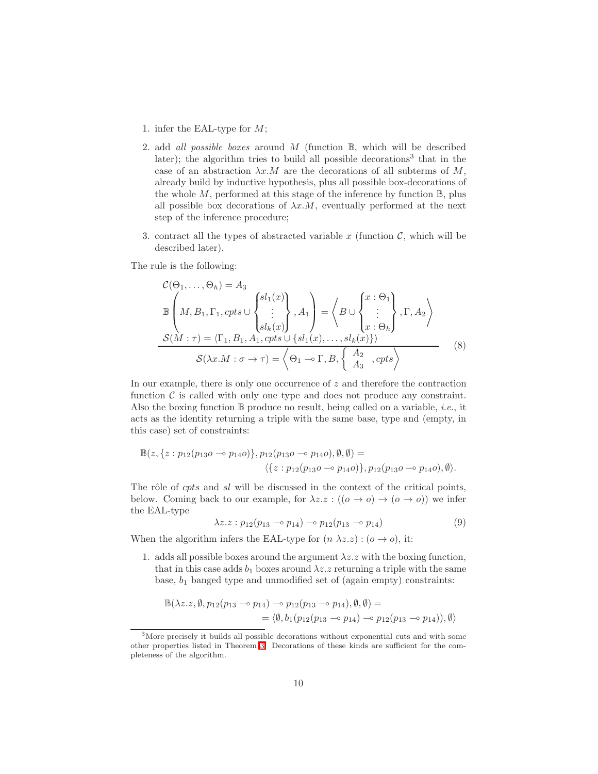- 1. infer the EAL-type for M;
- 2. add *all possible boxes* around  $M$  (function  $\mathbb{B}$ , which will be described later); the algorithm tries to build all possible decorations<sup>3</sup> that in the case of an abstraction  $\lambda x.M$  are the decorations of all subterms of M, already build by inductive hypothesis, plus all possible box-decorations of the whole  $M$ , performed at this stage of the inference by function  $\mathbb{B}$ , plus all possible box decorations of  $\lambda x.M$ , eventually performed at the next step of the inference procedure;
- <span id="page-9-0"></span>3. contract all the types of abstracted variable x (function  $\mathcal{C}$ , which will be described later).

The rule is the following:

$$
\mathcal{C}(\Theta_1, ..., \Theta_h) = A_3
$$
\n
$$
\mathbb{B}\left(M, B_1, \Gamma_1, \text{cpts} \cup \begin{Bmatrix}sl_1(x) \\ \vdots \\ sl_k(x) \end{Bmatrix}, A_1\right) = \left\langle B \cup \begin{Bmatrix} x : \Theta_1 \\ \vdots \\ x : \Theta_h \end{Bmatrix}, \Gamma, A_2\right\rangle
$$
\n
$$
\mathcal{S}(M : \tau) = \langle \Gamma_1, B_1, A_1, \text{cpts} \cup \{sl_1(x), \dots, sl_k(x)\}\rangle
$$
\n
$$
\mathcal{S}(\lambda x. M : \sigma \to \tau) = \left\langle \Theta_1 \to \Gamma, B_1, \begin{Bmatrix} A_2 \\ A_3 \end{Bmatrix}, \text{cpts} \right\rangle
$$
\n(8)

In our example, there is only one occurrence of  $z$  and therefore the contraction function  $\mathcal C$  is called with only one type and does not produce any constraint. Also the boxing function  $\mathbb B$  produce no result, being called on a variable, *i.e.*, it acts as the identity returning a triple with the same base, type and (empty, in this case) set of constraints:

$$
\mathbb{B}(z, \{z : p_{12}(p_{13}o \multimap p_{14}o)\}, p_{12}(p_{13}o \multimap p_{14}o), \emptyset, \emptyset) = \\ \langle \{z : p_{12}(p_{13}o \multimap p_{14}o)\}, p_{12}(p_{13}o \multimap p_{14}o), \emptyset \rangle.
$$

The rôle of cpts and sl will be discussed in the context of the critical points, below. Coming back to our example, for  $\lambda z \, : \{(\rho \to \rho) \to (\rho \to \rho)\}\)$  we infer the EAL-type

$$
\lambda z. z : p_{12}(p_{13} \multimap p_{14}) \multimap p_{12}(p_{13} \multimap p_{14}) \tag{9}
$$

When the algorithm infers the EAL-type for  $(n \lambda z. z) : (o \rightarrow o)$ , it:

1. adds all possible boxes around the argument  $\lambda z \, z$  with the boxing function, that in this case adds  $b_1$  boxes around  $\lambda z \cdot z$  returning a triple with the same base,  $b_1$  banged type and unmodified set of (again empty) constraints:

$$
\mathbb{B}(\lambda z. z, \emptyset, p_{12}(p_{13} \multimap p_{14}) \multimap p_{12}(p_{13} \multimap p_{14}), \emptyset, \emptyset) =
$$
  
=  $\langle \emptyset, b_1(p_{12}(p_{13} \multimap p_{14}) \multimap p_{12}(p_{13} \multimap p_{14})), \emptyset \rangle$ 

<sup>&</sup>lt;sup>3</sup>More precisely it builds all possible decorations without exponential cuts and with some other properties listed in Theorem [3.](#page-32-0) Decorations of these kinds are sufficient for the completeness of the algorithm.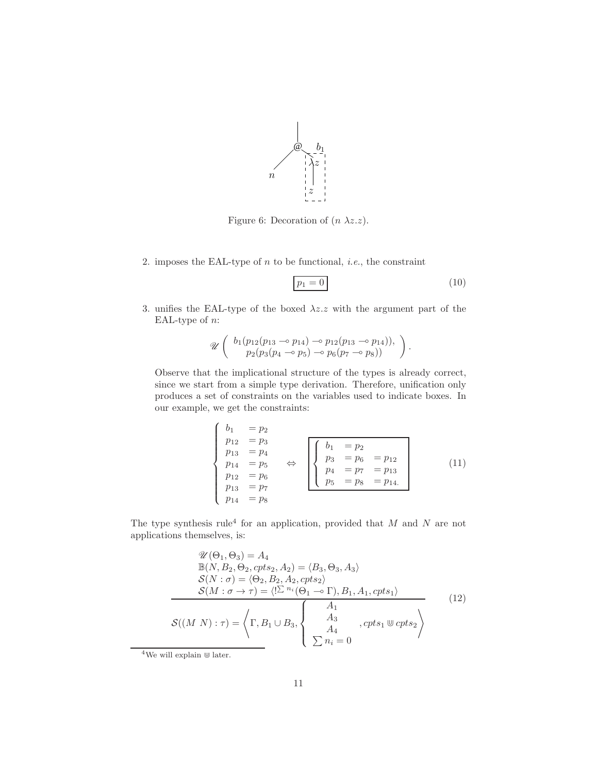

<span id="page-10-0"></span>Figure 6: Decoration of  $(n \lambda z.z)$ .

2. imposes the EAL-type of  $n$  to be functional, *i.e.*, the constraint

<span id="page-10-1"></span>
$$
p_1 = 0 \tag{10}
$$

3. unifies the EAL-type of the boxed  $\lambda z.z$  with the argument part of the EAL-type of  $n$ :

$$
\mathscr{U}\left(\begin{array}{c}b_1(p_{12}(p_{13}\multimap p_{14})\multimap p_{12}(p_{13}\multimap p_{14})),\\p_2(p_3(p_4\multimap p_5)\multimap p_6(p_7\multimap p_8))\end{array}\right).
$$

Observe that the implicational structure of the types is already correct, since we start from a simple type derivation. Therefore, unification only produces a set of constraints on the variables used to indicate boxes. In our example, we get the constraints:

$$
\begin{cases}\n b_1 &= p_2 \\
 p_{12} &= p_3 \\
 p_{13} &= p_4 \\
 p_{14} &= p_5 \\
 p_{12} &= p_6 \\
 p_{13} &= p_7\n\end{cases}\n\Leftrightarrow\n\begin{cases}\n b_1 &= p_2 \\
 p_3 &= p_6 = p_{12} \\
 p_4 &= p_7 = p_{13} \\
 p_5 &= p_8 = p_{14}.\n\end{cases}\n\tag{11}
$$

The type synthesis rule<sup>4</sup> for an application, provided that  $M$  and  $N$  are not applications themselves, is:

<span id="page-10-2"></span>
$$
\mathcal{U}(\Theta_1, \Theta_3) = A_4
$$
  
\n
$$
\mathbb{B}(N, B_2, \Theta_2, cpts_2, A_2) = \langle B_3, \Theta_3, A_3 \rangle
$$
  
\n
$$
\mathcal{S}(N : \sigma) = \langle \Theta_2, B_2, A_2, cpts_2 \rangle
$$
  
\n
$$
\mathcal{S}(M : \sigma \to \tau) = \langle \sum_{i} n_i (\Theta_1 \to \Gamma), B_1, A_1, cpts_1 \rangle
$$
  
\n
$$
\mathcal{S}((M \ N) : \tau) = \langle \Gamma, B_1 \cup B_3, \begin{cases} A_1 \\ A_3 \\ A_4 \\ \sum n_i = 0 \end{cases}, cpts_1 \Psi cpts_2 \rangle
$$
\n(12)

 ${}^4\mathrm{We}$  will explain  $\mathbbm{W}$  later.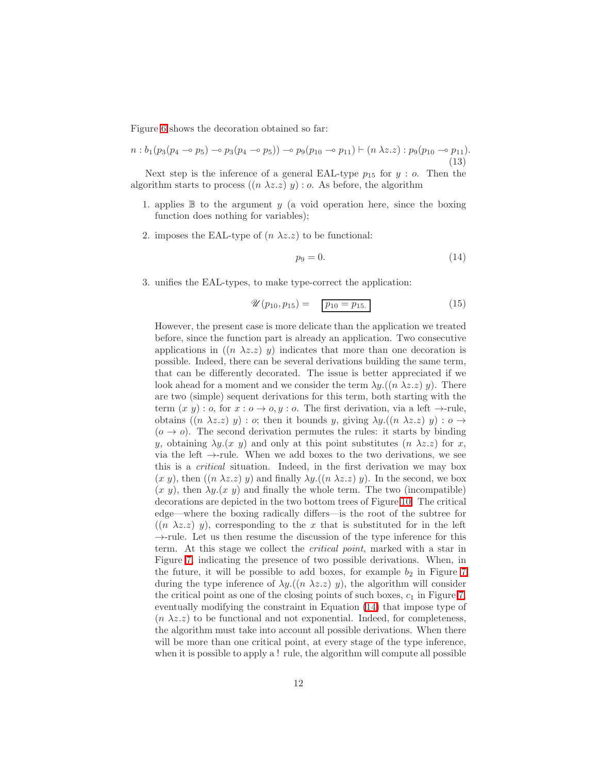Figure [6](#page-10-0) shows the decoration obtained so far:

$$
n : b_1(p_3(p_4 \multimap p_5) \multimap p_3(p_4 \multimap p_5)) \multimap p_9(p_{10} \multimap p_{11}) \vdash (n \lambda z. z) : p_9(p_{10} \multimap p_{11}).
$$
\n(13)

Next step is the inference of a general EAL-type  $p_{15}$  for  $y : o$ . Then the algorithm starts to process  $((n \lambda z. z) y)$ : o. As before, the algorithm

- 1. applies  $\mathbb B$  to the argument y (a void operation here, since the boxing function does nothing for variables);
- 2. imposes the EAL-type of  $(n \lambda z.z)$  to be functional:

<span id="page-11-0"></span>
$$
p_9 = 0.\t\t(14)
$$

3. unifies the EAL-types, to make type-correct the application:

$$
\mathscr{U}(p_{10}, p_{15}) = \boxed{p_{10} = p_{15.}} \tag{15}
$$

However, the present case is more delicate than the application we treated before, since the function part is already an application. Two consecutive applications in  $((n \lambda z. z) y)$  indicates that more than one decoration is possible. Indeed, there can be several derivations building the same term, that can be differently decorated. The issue is better appreciated if we look ahead for a moment and we consider the term  $\lambda y \cdot ((n \lambda z \cdot z) y)$ . There are two (simple) sequent derivations for this term, both starting with the term  $(x y) : o$ , for  $x : o \rightarrow o, y : o$ . The first derivation, via a left  $\rightarrow$ -rule, obtains  $((n \lambda z. z) y) : o$ ; then it bounds y, giving  $\lambda y. ((n \lambda z. z) y) : o \rightarrow$  $(o \rightarrow o)$ . The second derivation permutes the rules: it starts by binding y, obtaining  $\lambda y(x, y)$  and only at this point substitutes  $(n \lambda z. z)$  for x, via the left  $\rightarrow$ -rule. When we add boxes to the two derivations, we see this is a critical situation. Indeed, in the first derivation we may box  $(x, y)$ , then  $((n \lambda z. z) y)$  and finally  $\lambda y. ((n \lambda z. z) y)$ . In the second, we box  $(x, y)$ , then  $\lambda y.(x, y)$  and finally the whole term. The two (incompatible) decorations are depicted in the two bottom trees of Figure [10.](#page-16-0) The critical edge—where the boxing radically differs—is the root of the subtree for  $((n \lambda z. z) y)$ , corresponding to the x that is substituted for in the left  $\rightarrow$ -rule. Let us then resume the discussion of the type inference for this term. At this stage we collect the critical point, marked with a star in Figure [7,](#page-12-0) indicating the presence of two possible derivations. When, in the future, it will be possible to add boxes, for example  $b_2$  in Figure [7](#page-12-0) during the type inference of  $\lambda y \cdot ((n \lambda z \cdot z) y)$ , the algorithm will consider the critical point as one of the closing points of such boxes,  $c_1$  in Figure [7,](#page-12-0) eventually modifying the constraint in Equation [\(14\)](#page-11-0) that impose type of  $(n \lambda z. z)$  to be functional and not exponential. Indeed, for completeness, the algorithm must take into account all possible derivations. When there will be more than one critical point, at every stage of the type inference, when it is possible to apply a ! rule, the algorithm will compute all possible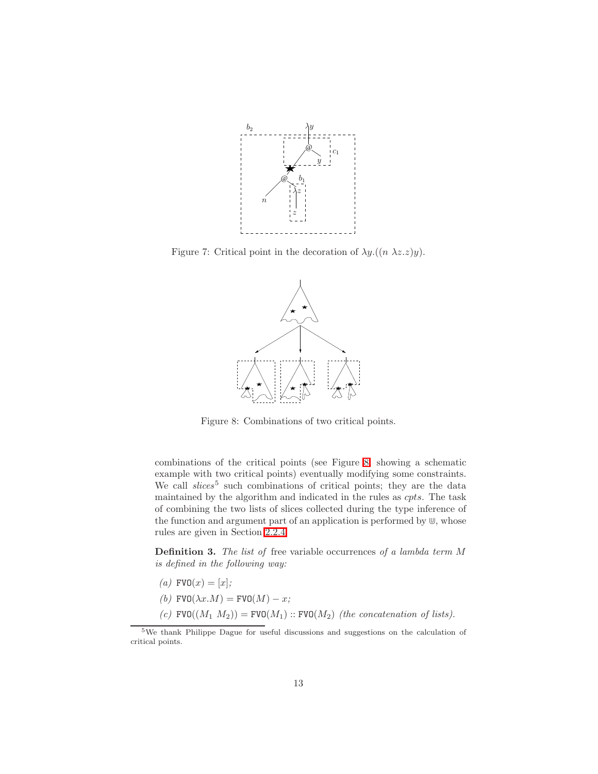

<span id="page-12-0"></span>Figure 7: Critical point in the decoration of  $\lambda y \cdot ((n \lambda z \cdot z)y)$ .



<span id="page-12-1"></span>Figure 8: Combinations of two critical points.

combinations of the critical points (see Figure [8,](#page-12-1) showing a schematic example with two critical points) eventually modifying some constraints. We call *slices*<sup>5</sup> such combinations of critical points; they are the data maintained by the algorithm and indicated in the rules as cpts. The task of combining the two lists of slices collected during the type inference of the function and argument part of an application is performed by  $\mathbb{U}$ , whose rules are given in Section [2.2.4.](#page-23-0)

Definition 3. The list of free variable occurrences of a lambda term M is defined in the following way:

- (a)  $FVO(x) = [x]$ ;
- (b) FVO $(\lambda x.M)$  = FVO $(M) x;$
- (c)  $\text{FVO}((M_1 M_2)) = \text{FVO}(M_1) :: \text{FVO}(M_2)$  (the concatenation of lists).

<span id="page-12-2"></span><sup>5</sup>We thank Philippe Dague for useful discussions and suggestions on the calculation of critical points.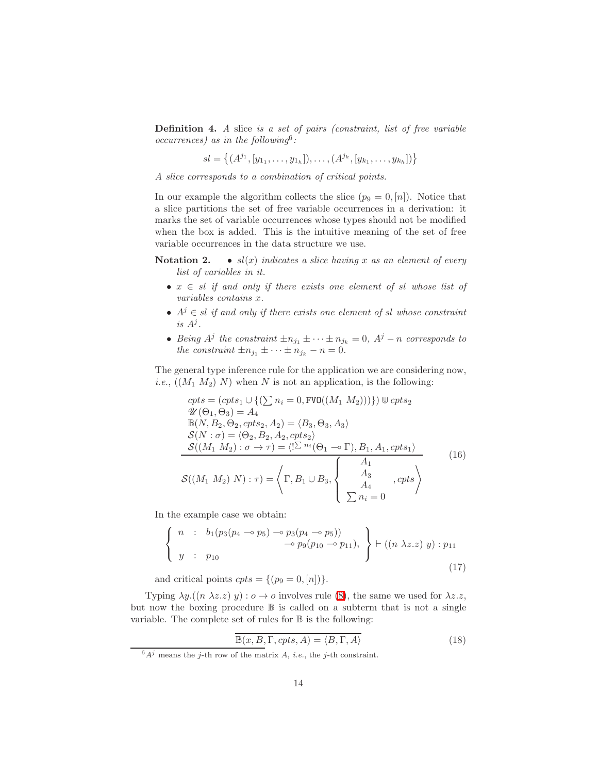Definition 4. A slice is a set of pairs (constraint, list of free variable  $occurrences)$  as in the following<sup>6</sup>:

 $sl = \{(A^{j_1}, [y_{1_1}, \ldots, y_{1_h}]), \ldots, (A^{j_k}, [y_{k_1}, \ldots, y_{k_h}])\}\$ 

A slice corresponds to a combination of critical points.

In our example the algorithm collects the slice  $(p_9 = 0, n]$ . Notice that a slice partitions the set of free variable occurrences in a derivation: it marks the set of variable occurrences whose types should not be modified when the box is added. This is the intuitive meaning of the set of free variable occurrences in the data structure we use.

<span id="page-13-0"></span>Notation 2. •  $sl(x)$  indicates a slice having x as an element of every list of variables in it.

- $x \in sl$  if and only if there exists one element of sl whose list of variables contains x.
- $A^j \in sl$  if and only if there exists one element of sl whose constraint is  $A^j$ .
- Being  $A^j$  the constraint  $\pm n_{j_1} \pm \cdots \pm n_{j_k} = 0$ ,  $A^j n$  corresponds to the constraint  $\pm n_{j_1} \pm \cdots \pm n_{j_k} - n = 0$ .

The general type inference rule for the application we are considering now, *i.e.*,  $((M_1 M_2) N)$  when N is not an application, is the following:

<span id="page-13-1"></span>
$$
cpts = (cpts_1 \cup \{(\sum n_i = 0, \text{FVO}((M_1 M_2)))\}) \cup cpts_2
$$
  
\n
$$
\mathcal{U}(\Theta_1, \Theta_3) = A_4
$$
  
\n
$$
\mathbb{B}(N, B_2, \Theta_2, cpts_2, A_2) = \langle B_3, \Theta_3, A_3 \rangle
$$
  
\n
$$
\mathcal{S}(N : \sigma) = \langle \Theta_2, B_2, A_2, cpts_2 \rangle
$$
  
\n
$$
\mathcal{S}((M_1 M_2) : \sigma \to \tau) = \langle !\mathcal{L}^{n_i}(\Theta_1 \to \Gamma), B_1, A_1, cpts_1 \rangle
$$
  
\n
$$
\mathcal{S}((M_1 M_2) N) : \tau) = \left\langle \Gamma, B_1 \cup B_3, \begin{cases} A_1 \\ A_3 \\ A_4 \\ \sum n_i = 0 \end{cases}, cpts \right\rangle
$$
\n(16)

In the example case we obtain:

$$
\begin{cases}\n n : b_1(p_3(p_4 \multimap p_5) \multimap p_3(p_4 \multimap p_5)) \\
 \multicolumn{3}{c}\n \end{cases}\n \rightarrow p_9(p_{10} \multimap p_{11}),\n \begin{cases}\n \vdash ((n \lambda z. z) y) : p_{11} \\
 \end{cases}\n \tag{17}
$$

and critical points  $cpts = \{(p_9 = 0, [n])\}.$ 

Typing  $\lambda y.((n \lambda z. z) y) : o \to o$  involves rule [\(8\)](#page-9-0), the same we used for  $\lambda z. z$ , but now the boxing procedure  $\mathbb B$  is called on a subterm that is not a single variable. The complete set of rules for  $\mathbb B$  is the following:

$$
\mathbb{B}(x, B, \Gamma, \mathit{cpts}, A) = \langle B, \Gamma, A \rangle \tag{18}
$$

 $6A^j$  means the j-th row of the matrix A, *i.e.*, the j-th constraint.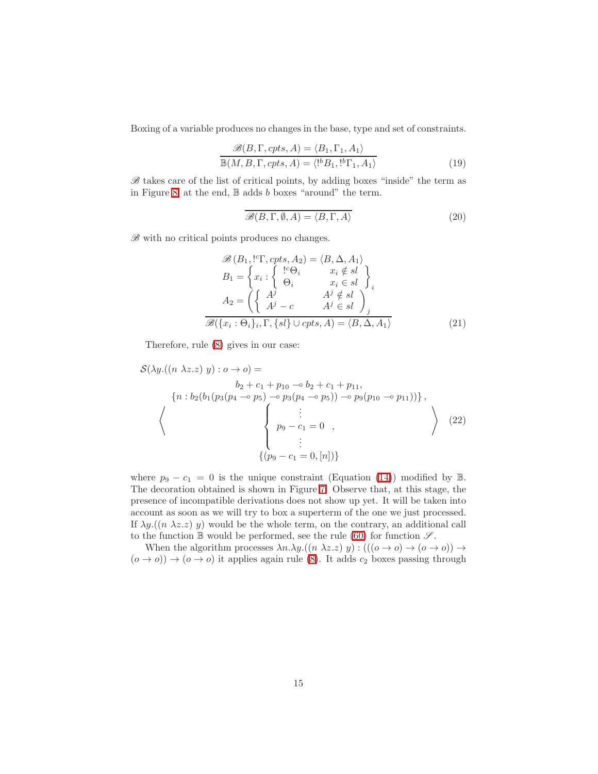Boxing of a variable produces no changes in the base, type and set of constraints.

$$
\frac{\mathcal{B}(B,\Gamma,cpts,A) = \langle B_1,\Gamma_1,A_1 \rangle}{\mathbb{B}(M,B,\Gamma,cpts,A) = \langle \cdot^b B_1,\cdot^b \Gamma_1,A_1 \rangle}
$$
(19)

 $B$  takes care of the list of critical points, by adding boxes "inside" the term as in Figure [8;](#page-12-1) at the end,  $\mathbb B$  adds b boxes "around" the term.

$$
\mathcal{B}(B,\Gamma,\emptyset,A) = \langle B,\Gamma,A\rangle \tag{20}
$$

 $B$  with no critical points produces no changes.

$$
\mathcal{B}(B_1, ^{1c}\Gamma, cpts, A_2) = \langle B, \Delta, A_1 \rangle \nB_1 = \begin{cases}\nx_i : \begin{cases}\n^{1c}\Theta_i & x_i \notin sl \\
\Theta_i & x_i \in sl\n\end{cases}\n\end{cases} \nA_2 = \left(\begin{cases}\nA^j & A^j \notin sl \\
A^j - c & A^j \in sl\n\end{cases}\right) \n\mathcal{B}(\lbrace x_i : \Theta_i \rbrace_i, \Gamma, \lbrace sl \rbrace \cup cpts, A) = \langle B, \Delta, A_1 \rangle\n\end{cases}
$$
\n(21)

Therefore, rule [\(8\)](#page-9-0) gives in our case:

$$
S(\lambda y.((n \lambda z. z) y) : o \to o) =
$$
  
\n
$$
b_2 + c_1 + p_{10} \to b_2 + c_1 + p_{11},
$$
  
\n
$$
\{n : b_2(b_1(p_3(p_4 \to p_5) \to p_3(p_4 \to p_5)) \to p_9(p_{10} \to p_{11}))\},\
$$
  
\n
$$
\left\{\n \begin{array}{c}\n \vdots \\
 p_9 - c_1 = 0 \\
 \vdots \\
 (p_9 - c_1 = 0, [n])\n \end{array}\n \right\}
$$
\n
$$
(22)
$$

where  $p_9 - c_1 = 0$  is the unique constraint (Equation [\(14\)](#page-11-0)) modified by B. The decoration obtained is shown in Figure [7.](#page-12-0) Observe that, at this stage, the presence of incompatible derivations does not show up yet. It will be taken into account as soon as we will try to box a superterm of the one we just processed. If  $\lambda y.((n \lambda z. z) y)$  would be the whole term, on the contrary, an additional call to the function  $\mathbb B$  would be performed, see the rule [\(60\)](#page-26-2) for function  $\mathscr S$ .

When the algorithm processes  $\lambda n.\lambda y.((n \lambda z. z) y) : (((o \rightarrow o) \rightarrow (o \rightarrow o)) \rightarrow$  $(o \rightarrow o)$ )  $\rightarrow$   $(o \rightarrow o)$  it applies again rule [\(8\)](#page-9-0). It adds  $c_2$  boxes passing through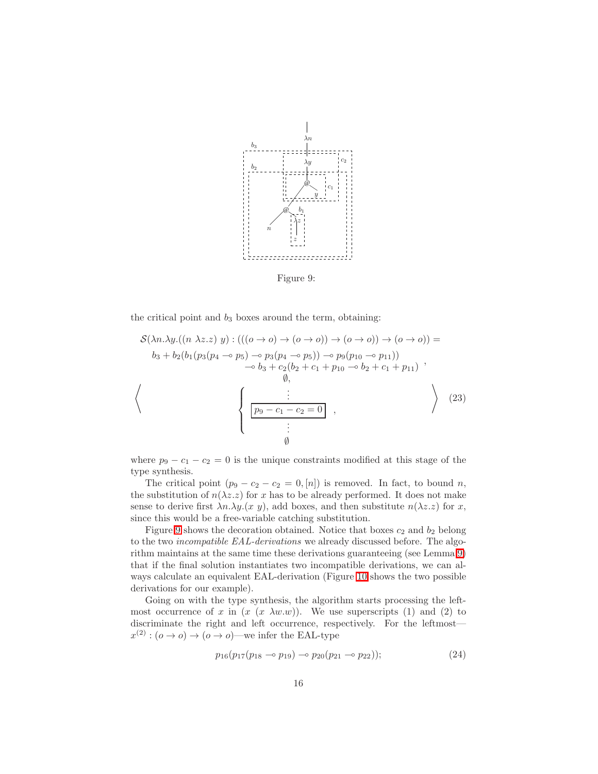

<span id="page-15-0"></span>Figure 9:

the critical point and  $b_3$  boxes around the term, obtaining:

$$
\mathcal{S}(\lambda n.\lambda y.((n \lambda z. z) y) : (((o \to o) \to (o \to o)) \to (o \to o)) \to (o \to o)) =
$$
  
\n
$$
b_3 + b_2(b_1(p_3(p_4 \to p_5) \to p_3(p_4 \to p_5)) \to p_9(p_{10} \to p_{11}))
$$
  
\n
$$
\to b_3 + c_2(b_2 + c_1 + p_{10} \to b_2 + c_1 + p_{11}) ,
$$
  
\n
$$
\emptyset,
$$
  
\n
$$
\left\{\n\begin{array}{c}\n\vdots \\
\boxed{p_9 - c_1 - c_2 = 0} \\
\vdots \\
\boxed{p_9}\n\end{array}\n\right\},
$$
\n(23)

where  $p_9 - c_1 - c_2 = 0$  is the unique constraints modified at this stage of the type synthesis.

The critical point  $(p_9 - c_2 - c_2 = 0, [n])$  is removed. In fact, to bound n, the substitution of  $n(\lambda z. z)$  for x has to be already performed. It does not make sense to derive first  $\lambda n.\lambda y.(x \, y)$ , add boxes, and then substitute  $n(\lambda z.z)$  for x, since this would be a free-variable catching substitution.

Figure [9](#page-15-0) shows the decoration obtained. Notice that boxes  $c_2$  and  $b_2$  belong to the two incompatible EAL-derivations we already discussed before. The algorithm maintains at the same time these derivations guaranteeing (see Lemma [9\)](#page-33-0) that if the final solution instantiates two incompatible derivations, we can always calculate an equivalent EAL-derivation (Figure [10](#page-16-0) shows the two possible derivations for our example).

Going on with the type synthesis, the algorithm starts processing the leftmost occurrence of x in  $(x \lambda w.w)$ . We use superscripts (1) and (2) to discriminate the right and left occurrence, respectively. For the leftmost  $x^{(2)} : (o \to o) \to (o \to o)$ —we infer the EAL-type

$$
p_{16}(p_{17}(p_{18}\multimap p_{19})\multimap p_{20}(p_{21}\multimap p_{22}));\tag{24}
$$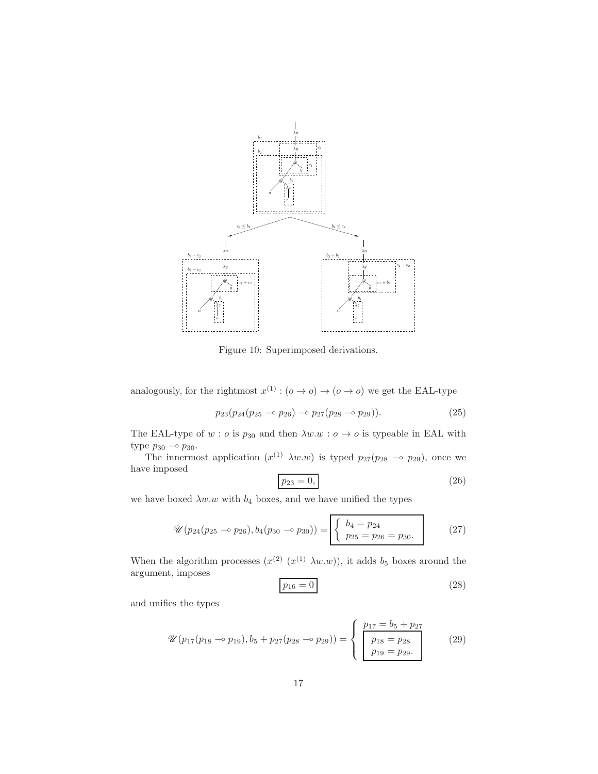

<span id="page-16-0"></span>Figure 10: Superimposed derivations.

analogously, for the rightmost  $x^{(1)}$ :  $(o \to o) \to (o \to o)$  we get the EAL-type

$$
p_{23}(p_{24}(p_{25}\multimap p_{26})\multimap p_{27}(p_{28}\multimap p_{29})).
$$
\n
$$
(25)
$$

The EAL-type of  $w : o$  is  $p_{30}$  and then  $\lambda w.w : o \to o$  is typeable in EAL with type  $p_{30} \multimap p_{30}$ .

The innermost application  $(x^{(1)} \lambda w.w)$  is typed  $p_{27}(p_{28} \sim p_{29})$ , once we have imposed

$$
p_{23} = 0,\t\t(26)
$$

we have boxed  $\lambda w.w$  with  $b_4$  boxes, and we have unified the types

$$
\mathscr{U}(p_{24}(p_{25}\multimap p_{26}), b_4(p_{30}\multimap p_{30})) = \begin{bmatrix} b_4 = p_{24} \\ p_{25} = p_{26} = p_{30} \end{bmatrix}
$$
 (27)

When the algorithm processes  $(x^{(2)} (x^{(1)} \lambda w.w))$ , it adds  $b_5$  boxes around the argument, imposes

$$
p_{16} = 0 \tag{28}
$$

<span id="page-16-1"></span>and unifies the types

$$
\mathcal{U}(p_{17}(p_{18}\multimap p_{19}), b_5 + p_{27}(p_{28}\multimap p_{29})) = \begin{cases} p_{17} = b_5 + p_{27} \\ p_{18} = p_{28} \\ p_{19} = p_{29}. \end{cases} (29)
$$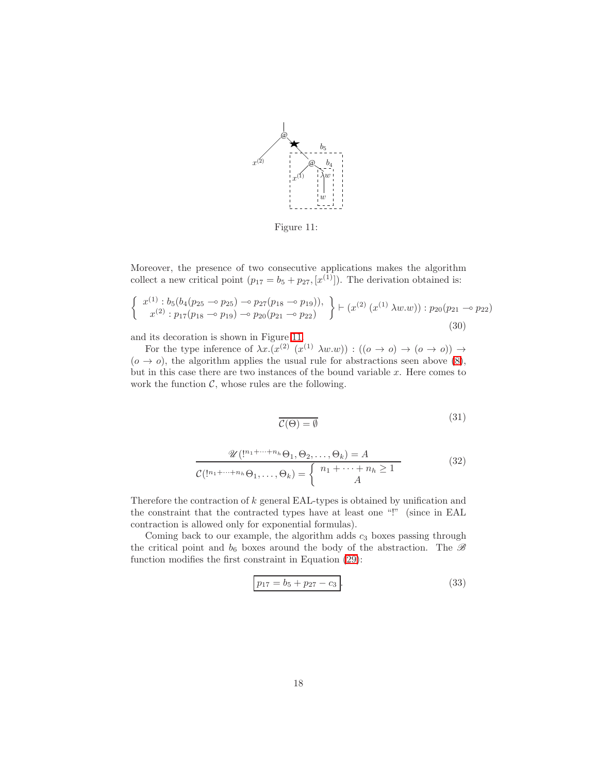

<span id="page-17-0"></span>Figure 11:

Moreover, the presence of two consecutive applications makes the algorithm collect a new critical point  $(p_{17} = b_5 + p_{27}, [x^{(1)}])$ . The derivation obtained is:

$$
\begin{Bmatrix}\nx^{(1)}: b_5(b_4(p_{25} \rightarrow p_{25}) \rightarrow p_{27}(p_{18} \rightarrow p_{19})), \\
x^{(2)}: p_{17}(p_{18} \rightarrow p_{19}) \rightarrow p_{20}(p_{21} \rightarrow p_{22})\n\end{Bmatrix} \models (x^{(2)}(x^{(1)} \lambda w.w)) : p_{20}(p_{21} \rightarrow p_{22})
$$
\n(30)

and its decoration is shown in Figure [11.](#page-17-0)

For the type inference of  $\lambda x.(x^{(2)} (x^{(1)} \lambda w.w)) : ((o \rightarrow o) \rightarrow (o \rightarrow o)) \rightarrow$  $(o \rightarrow o)$ , the algorithm applies the usual rule for abstractions seen above [\(8\)](#page-9-0), but in this case there are two instances of the bound variable  $x$ . Here comes to work the function  $C$ , whose rules are the following.

$$
\mathcal{C}(\Theta) = \emptyset \tag{31}
$$

$$
\frac{\mathcal{U}(\mathbf{1}^{n_1+\cdots+n_h}\Theta_1,\Theta_2,\ldots,\Theta_k)=A}{\mathcal{C}(\mathbf{1}^{n_1+\cdots+n_h}\Theta_1,\ldots,\Theta_k)=\begin{cases}n_1+\cdots+n_h\geq 1\\A\end{cases}
$$
(32)

Therefore the contraction of k general EAL-types is obtained by unification and the constraint that the contracted types have at least one "!" (since in EAL contraction is allowed only for exponential formulas).

Coming back to our example, the algorithm adds  $c_3$  boxes passing through the critical point and  $b_6$  boxes around the body of the abstraction. The  $\mathscr B$ function modifies the first constraint in Equation [\(29\)](#page-16-1):

$$
p_{17} = b_5 + p_{27} - c_3.
$$
\n(33)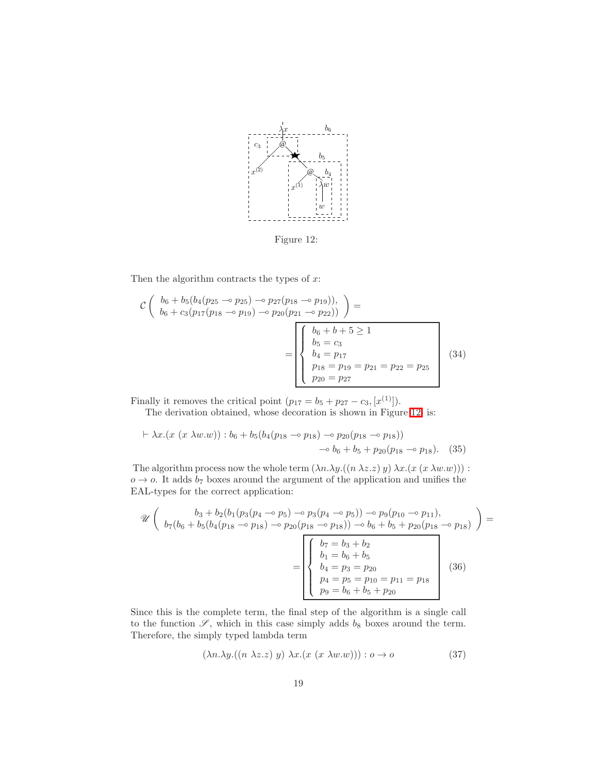

<span id="page-18-0"></span>Figure 12:

Then the algorithm contracts the types of  $x$ :

$$
\mathcal{C}\left(\begin{array}{c}b_6+b_5(b_4(p_{25}\multimap p_{25})\multimap p_{27}(p_{18}\multimap p_{19})),\\b_6+c_3(p_{17}(p_{18}\multimap p_{19})\multimap p_{20}(p_{21}\multimap p_{22}))\end{array}\right)=\n\begin{bmatrix}\nb_6+b+5\geq 1\\b_5=c_3\\b_4=p_{17}\\p_{18}=p_{19}=p_{21}=p_{22}=p_{25}\\p_{20}=p_{27}\end{bmatrix}\n\tag{34}
$$

Finally it removes the critical point  $(p_{17} = b_5 + p_{27} - c_3, [x^{(1)}]$ .

The derivation obtained, whose decoration is shown in Figure [12,](#page-18-0) is:

$$
\vdash \lambda x.(x \ (x \ \lambda w.w)) : b_6 + b_5(b_4(p_{18} \multimap p_{18}) \multimap p_{20}(p_{18} \multimap p_{18}))
$$
  

$$
\multimap b_6 + b_5 + p_{20}(p_{18} \multimap p_{18}). \tag{35}
$$

The algorithm process now the whole term  $(\lambda n.\lambda y.((n \lambda z. z) y) \lambda x.(x (x \lambda w. w)))$ :  $o \rightarrow o$ . It adds  $b_7$  boxes around the argument of the application and unifies the EAL-types for the correct application:

$$
\mathcal{U}\left(\begin{array}{c}b_3+b_2(b_1(p_3(p_4 \rightarrow p_5) \rightarrow p_3(p_4 \rightarrow p_5)) \rightarrow p_9(p_{10} \rightarrow p_{11}),\\b_7(b_6+b_5(b_4(p_{18} \rightarrow p_{18}) \rightarrow p_{20}(p_{18} \rightarrow p_{18})) \rightarrow b_6+b_5+p_{20}(p_{18} \rightarrow p_{18})\end{array}\right) = \n\begin{bmatrix}\nb_7 = b_3 + b_2\\b_1 = b_6 + b_5\\b_4 = p_3 = p_{20}\\p_4 = p_5 = p_{10} = p_{11} = p_{18}\\p_9 = b_6 + b_5 + p_{20}\end{bmatrix} \quad (36)
$$

Since this is the complete term, the final step of the algorithm is a single call to the function  $\mathscr{S}$ , which in this case simply adds  $b_8$  boxes around the term. Therefore, the simply typed lambda term

<span id="page-18-1"></span>
$$
(\lambda n. \lambda y. ((n \lambda z. z) y) \lambda x. (x (x \lambda w. w))) : o \to o \tag{37}
$$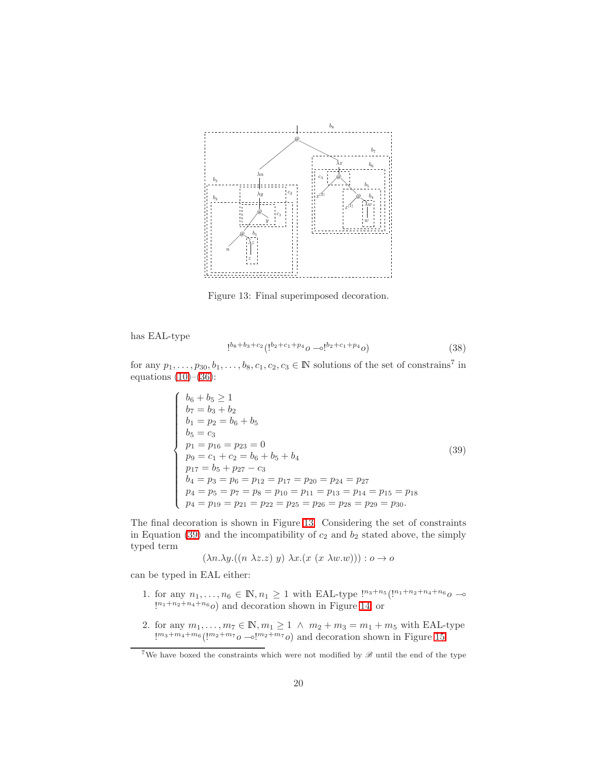

<span id="page-19-0"></span>Figure 13: Final superimposed decoration.

has EAL-type

$$
!^{b_8+b_3+c_2} (!^{b_2+c_1+p_4}0 \multimap !^{b_2+c_1+p_4}0) \tag{38}
$$

<span id="page-19-1"></span>for any  $p_1, \ldots, p_{30}, b_1, \ldots, b_8, c_1, c_2, c_3 \in \mathbb{N}$  solutions of the set of constrains<sup>7</sup> in equations  $(10)$ – $(36)$ :

$$
\begin{cases}\n b_6 + b_5 \ge 1 \\
 b_7 = b_3 + b_2 \\
 b_1 = p_2 = b_6 + b_5 \\
 b_5 = c_3 \\
 p_1 = p_{16} = p_{23} = 0 \\
 p_9 = c_1 + c_2 = b_6 + b_5 + b_4 \\
 p_{17} = b_5 + p_{27} - c_3 \\
 b_4 = p_3 = p_6 = p_{12} = p_{17} = p_{20} = p_{24} = p_{27} \\
 p_4 = p_5 = p_7 = p_8 = p_{10} = p_{11} = p_{13} = p_{14} = p_{15} = p_{18} \\
 p_4 = p_{19} = p_{21} = p_{22} = p_{25} = p_{26} = p_{28} = p_{29} = p_{30}.\n\end{cases} (39)
$$

The final decoration is shown in Figure [13.](#page-19-0) Considering the set of constraints in Equation [\(39\)](#page-19-1) and the incompatibility of  $c_2$  and  $b_2$  stated above, the simply typed term

$$
(\lambda n.\lambda y.((n \lambda z.z) y) \lambda x.(x (x \lambda w.w))) : o \to o
$$

can be typed in EAL either:

- 1. for any  $n_1, ..., n_6 \in \mathbb{N}, n_1 \ge 1$  with EAL-type  $\frac{1}{n_3+n_5} (\frac{1}{n_1+n_2+n_4+n_6}0 \infty)$  $\binom{n_1+n_2+n_4+n_6}{\infty}$  and decoration shown in Figure [14,](#page-20-0) or
- 2. for any  $m_1, ..., m_7 \in \mathbb{N}, m_1 \geq 1 \land m_2 + m_3 = m_1 + m_5$  with EAL-type  $\left[\frac{m_3+m_4+m_6}{m_2+m_7o-\epsilon}\right]^{m_2+m_7}$  and decoration shown in Figure [15.](#page-20-1)

<sup>&</sup>lt;sup>7</sup>We have boxed the constraints which were not modified by  $\mathscr B$  until the end of the type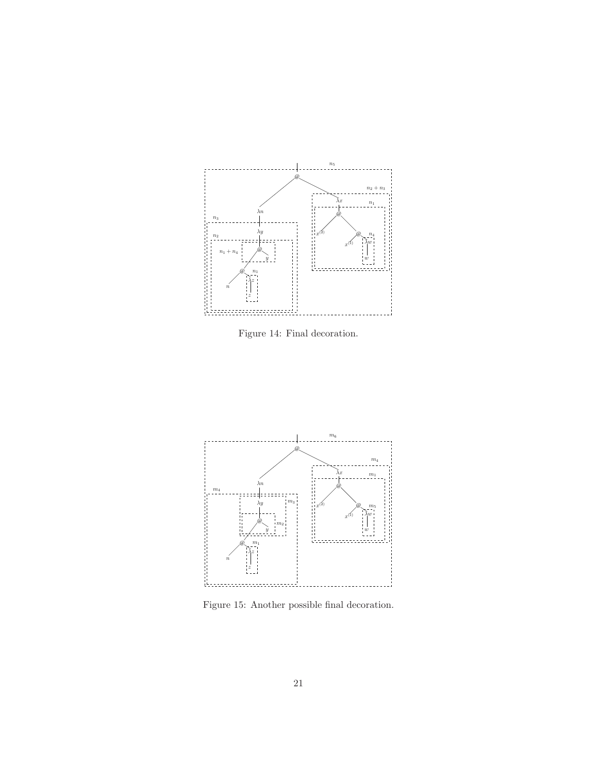

<span id="page-20-0"></span>Figure 14: Final decoration.



<span id="page-20-1"></span>Figure 15: Another possible final decoration.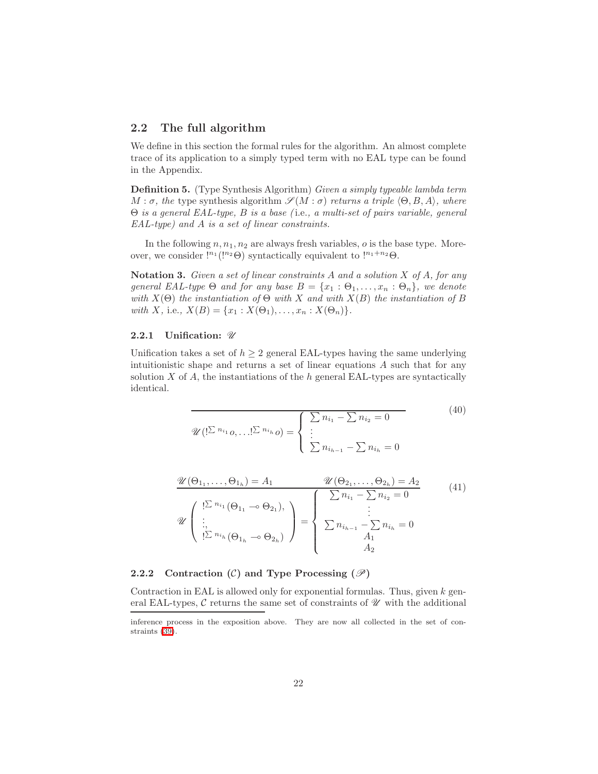### <span id="page-21-0"></span>2.2 The full algorithm

We define in this section the formal rules for the algorithm. An almost complete trace of its application to a simply typed term with no EAL type can be found in the Appendix.

Definition 5. (Type Synthesis Algorithm) Given a simply typeable lambda term  $M : \sigma$ , the type synthesis algorithm  $\mathscr{S}(M : \sigma)$  returns a triple  $\langle \Theta, B, A \rangle$ , where Θ is a general EAL-type, B is a base ( i.e., a multi-set of pairs variable, general EAL-type) and A is a set of linear constraints.

In the following  $n, n_1, n_2$  are always fresh variables,  $o$  is the base type. Moreover, we consider  $\binom{n_1(n_2\Theta)}{n_1+\cdots+n_k}$  syntactically equivalent to  $\binom{n_1+n_2\Theta}{n_k-\cdots+n_k}$ .

**Notation 3.** Given a set of linear constraints  $A$  and a solution  $X$  of  $A$ , for any general EAL-type  $\Theta$  and for any base  $B = \{x_1 : \Theta_1, \ldots, x_n : \Theta_n\}$ , we denote with  $X(\Theta)$  the instantiation of  $\Theta$  with X and with  $X(B)$  the instantiation of B with X, i.e.,  $X(B) = \{x_1 : X(\Theta_1), \ldots, x_n : X(\Theta_n)\}.$ 

#### 2.2.1 Unification:  $\mathscr U$

Unification takes a set of  $h \geq 2$  general EAL-types having the same underlying intuitionistic shape and returns a set of linear equations A such that for any solution  $X$  of  $A$ , the instantiations of the  $h$  general EAL-types are syntactically identical.

<span id="page-21-1"></span>
$$
\mathcal{U}(|\Sigma^{n_{i_1}} o, \dots |\Sigma^{n_{i_h}} o) = \begin{cases} \sum n_{i_1} - \sum n_{i_2} = 0 \\ \vdots \\ \sum n_{i_{h-1}} - \sum n_{i_h} = 0 \end{cases}
$$
(40)

$$
\mathcal{U}(\Theta_{1_1}, \dots, \Theta_{1_h}) = A_1 \qquad \mathcal{U}(\Theta_{2_1}, \dots, \Theta_{2_h}) = A_2
$$
\n
$$
\mathcal{U}\begin{pmatrix}\n! \sum n_{i_1} (\Theta_{1_1} \cdots \Theta_{2_1}), \\
\vdots \\
! \sum n_{i_h} (\Theta_{1_h} \cdots \Theta_{2_h})\n\end{pmatrix} = \begin{cases}\n\sum n_{i_1} - \sum n_{i_2} = 0 \\
\vdots \\
\sum n_{i_{h-1}} - \sum n_{i_h} = 0 \\
A_1 \\
A_2\n\end{cases} (41)
$$

#### 2.2.2 Contraction  $(C)$  and Type Processing  $(\mathscr{P})$

Contraction in EAL is allowed only for exponential formulas. Thus, given  $k$  general EAL-types,  $\mathcal C$  returns the same set of constraints of  $\mathcal U$  with the additional

inference process in the exposition above. They are now all collected in the set of constraints [\(39\)](#page-19-1).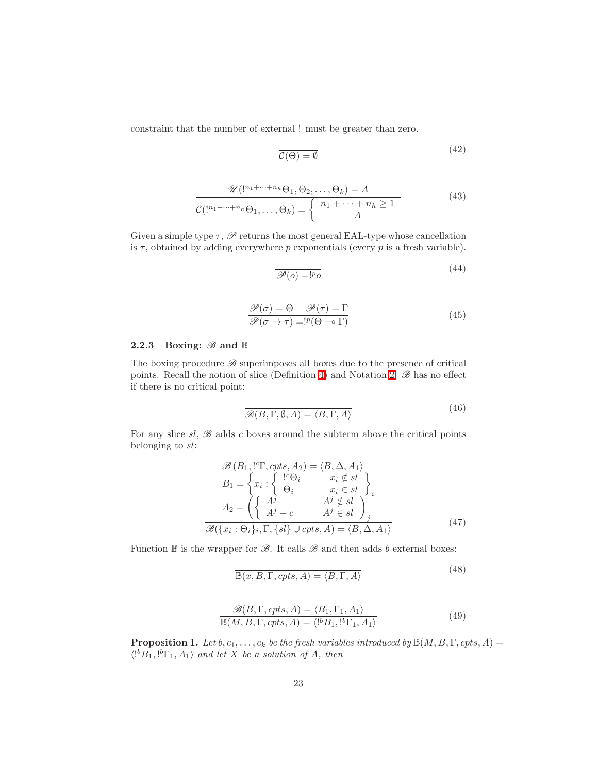constraint that the number of external ! must be greater than zero.

<span id="page-22-2"></span>
$$
\overline{\mathcal{C}(\Theta) = \emptyset} \tag{42}
$$

$$
\mathcal{U}(\underbrace{!^{n_1+\cdots+n_h}\Theta_1,\Theta_2,\ldots,\Theta_k}_{\mathcal{C}(\underbrace{!^{n_1+\cdots+n_h}\Theta_1,\ldots,\Theta_k}_{\mathcal{A}})} = \begin{cases} n_1 + \cdots + n_h \ge 1 \\ A \end{cases} \tag{43}
$$

Given a simple type  $\tau$ ,  $\mathscr P$  returns the most general EAL-type whose cancellation is  $\tau$ , obtained by adding everywhere p exponentials (every p is a fresh variable).

$$
\mathscr{P}(o) = !p_o \tag{44}
$$

$$
\frac{\mathcal{P}(\sigma) = \Theta \quad \mathcal{P}(\tau) = \Gamma}{\mathcal{P}(\sigma \to \tau) = !^p (\Theta \to \Gamma)}\tag{45}
$$

### 2.2.3 Boxing:  $\mathscr{B}$  and  $\mathbb{B}$

The boxing procedure  $\mathscr B$  superimposes all boxes due to the presence of critical points. Recall the notion of slice (Definition [4\)](#page-12-2) and Notation [2.](#page-13-0)  $\mathscr{B}$  has no effect if there is no critical point:

$$
\overline{\mathcal{B}(B,\Gamma,\emptyset,A)} = \langle B,\Gamma,A\rangle
$$
\n(46)

For any slice  $sl, \mathscr{B}$  adds c boxes around the subterm above the critical points belonging to sl:

$$
\mathcal{B}(B_1, ^1C\Gamma, cpts, A_2) = \langle B, \Delta, A_1 \rangle
$$
  
\n
$$
B_1 = \begin{cases} x_i : \begin{cases} ^1C\Theta_i & x_i \notin sl \\ \Theta_i & x_i \in sl \end{cases} \end{cases} \Big\}_i
$$
  
\n
$$
A_2 = \left( \begin{cases} A^j & A^j \notin sl \\ A^j - c & A^j \in sl \end{cases} \right)_j
$$
  
\n
$$
\mathcal{B}(\{x_i : \Theta_i\}_i, \Gamma, \{sl\} \cup cpts, A) = \langle B, \Delta, A_1 \rangle
$$
\n(47)

Function  $\mathbb B$  is the wrapper for  $\mathscr B$ . It calls  $\mathscr B$  and then adds b external boxes:

<span id="page-22-1"></span><span id="page-22-0"></span>
$$
\mathbb{B}(x, B, \Gamma, \text{cpts}, A) = \langle B, \Gamma, A \rangle \tag{48}
$$

$$
\mathcal{B}(B, \Gamma, cpts, A) = \langle B_1, \Gamma_1, A_1 \rangle \mathbb{B}(M, B, \Gamma, cpts, A) = \langle {^{[b}}B_1, {^{[b}}\Gamma_1, A_1 \rangle
$$
\n(49)

**Proposition 1.** Let  $b, c_1, \ldots, c_k$  be the fresh variables introduced by  $\mathbb{B}(M, B, \Gamma, cpts, A)$  =  $\langle P^b B_1, P^b \Gamma_1, A_1 \rangle$  and let X be a solution of A, then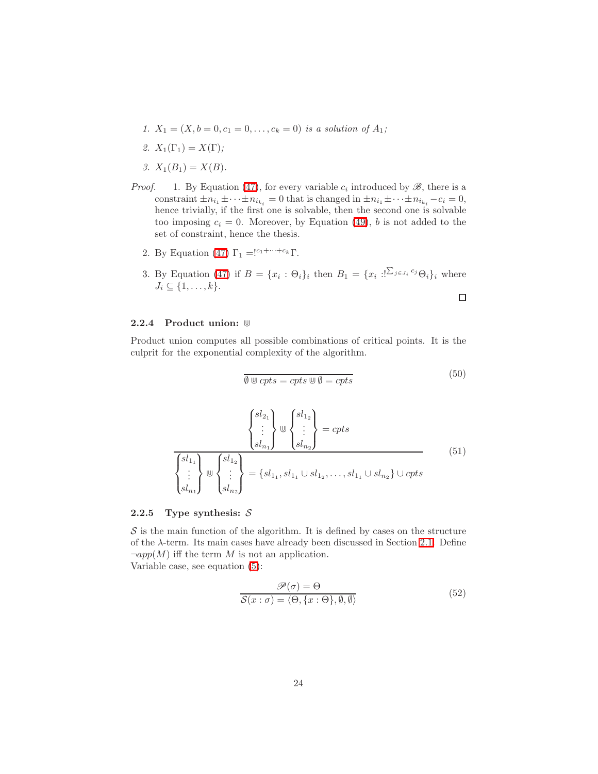- 1.  $X_1 = (X, b = 0, c_1 = 0, \ldots, c_k = 0)$  is a solution of  $A_1$ ;
- 2.  $X_1(\Gamma_1) = X(\Gamma);$
- 3.  $X_1(B_1) = X(B)$ .
- *Proof.* 1. By Equation [\(47\)](#page-22-0), for every variable  $c_i$  introduced by  $\mathscr{B}$ , there is a constraint  $\pm n_{i_1} \pm \cdots \pm n_{i_{k_i}} = 0$  that is changed in  $\pm n_{i_1} \pm \cdots \pm n_{i_{k_i}} - c_i = 0$ , hence trivially, if the first one is solvable, then the second one is solvable too imposing  $c_i = 0$ . Moreover, by Equation [\(49\)](#page-22-1), b is not added to the set of constraint, hence the thesis.
	- 2. By Equation [\(47\)](#page-22-0)  $\Gamma_1 = \frac{|c_1 + \cdots + c_k|}{k!}$ .
	- 3. By Equation [\(47\)](#page-22-0) if  $B = \{x_i : \Theta_i\}_i$  then  $B_1 = \{x_i : \sum_{j \in J_i} c_j \Theta_i\}_i$  where  $J_i \subseteq \{1,\ldots,k\}.$

#### <span id="page-23-0"></span>2.2.4 Product union: ⋓

Product union computes all possible combinations of critical points. It is the culprit for the exponential complexity of the algorithm.

$$
\emptyset \cup cpts = cpts \cup \emptyset = cpts \tag{50}
$$

 $\Box$ 

$$
\frac{\begin{Bmatrix} sl_{2_1} \\ \vdots \\ sl_{n_1} \end{Bmatrix} \mathbb{U} \begin{Bmatrix} sl_{2_1} \\ \vdots \\ sl_{n_1} \end{Bmatrix} \mathbb{U} \begin{Bmatrix} sl_{1_2} \\ \vdots \\ sl_{n_2} \end{Bmatrix} = cpts
$$
\n
$$
\frac{\begin{Bmatrix} sl_{1_1} \\ \vdots \\ sl_{n_1} \end{Bmatrix} \mathbb{U} \begin{Bmatrix} sl_{1_2} \\ \vdots \\ sl_{n_2} \end{Bmatrix}}{\begin{Bmatrix} sl_{1_1} \\ sl_{1_2} \end{Bmatrix} \mathbb{U} \begin{Bmatrix} sl_{1_1} & sl_{1_1} & sl_{1_2} & \cdots & sl_{1_1} & \cdots & sl_{n_2} \end{Bmatrix} \mathbb{U} \begin{Bmatrix} cpt s \\ \vdots \\ cpt s \end{Bmatrix}} \tag{51}
$$

#### 2.2.5 Type synthesis:  $S$

 $S$  is the main function of the algorithm. It is defined by cases on the structure of the  $\lambda$ -term. Its main cases have already been discussed in Section [2.1.](#page-7-2) Define  $\neg app(M)$  iff the term M is not an application. Variable case, see equation [\(5\)](#page-8-1):

$$
\frac{\mathcal{P}(\sigma) = \Theta}{\mathcal{S}(x:\sigma) = \langle \Theta, \{x:\Theta\}, \emptyset, \emptyset \rangle}
$$
(52)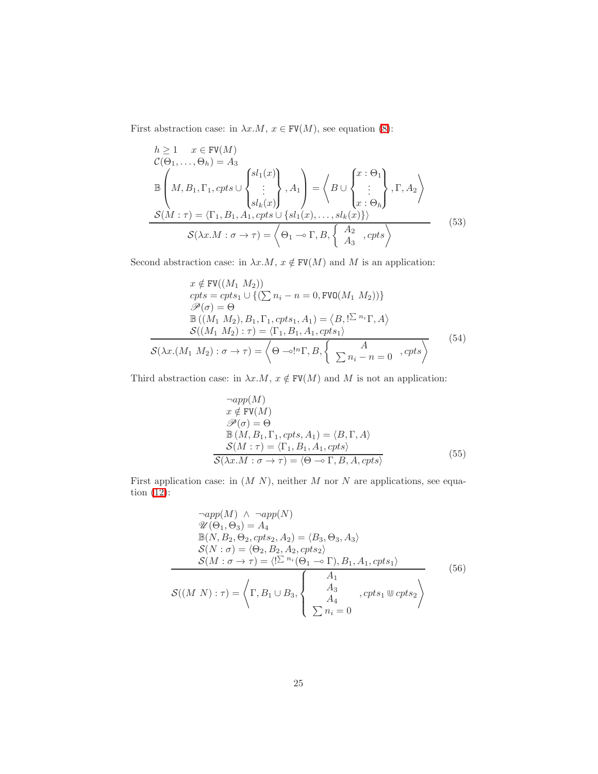First abstraction case: in  $\lambda x.M$ ,  $x \in \text{FV}(M)$ , see equation [\(8\)](#page-9-0):

$$
h \ge 1 \quad x \in \text{FV}(M)
$$
  
\n
$$
\mathcal{C}(\Theta_1, ..., \Theta_h) = A_3
$$
  
\n
$$
\mathbb{B}\left(M, B_1, \Gamma_1, \text{cpts} \cup \begin{Bmatrix}sl_1(x) \\ \vdots \\ sl_k(x) \end{Bmatrix}, A_1\right) = \left\langle B \cup \begin{Bmatrix} x : \Theta_1 \\ \vdots \\ x : \Theta_h \end{Bmatrix}, \Gamma, A_2\right\rangle
$$
  
\n
$$
\mathcal{S}(M : \tau) = \langle \Gamma_1, B_1, A_1, \text{cpts} \cup \{sl_1(x), \dots, sl_k(x)\}\rangle
$$
  
\n
$$
\mathcal{S}(\lambda x.M : \sigma \to \tau) = \left\langle \Theta_1 \to \Gamma, B, \begin{Bmatrix} A_2 \\ A_3 \end{Bmatrix}, \text{cpts} \right\rangle
$$
\n(53)

Second abstraction case: in  $\lambda x.M,$   $x\notin \text{FV}(M)$  and  $M$  is an application:

$$
x \notin \text{FV}((M_1 \ M_2))
$$
  
\n
$$
cpts = cpts_1 \cup \{(\sum n_i - n = 0, \text{FVO}(M_1 \ M_2))\}
$$
  
\n
$$
\mathcal{P}(\sigma) = \Theta
$$
  
\n
$$
\mathbb{B}((M_1 \ M_2), B_1, \Gamma_1, cpts_1, A_1) = \langle B, !\Sigma^{n_i} \Gamma, A \rangle
$$
  
\n
$$
S((M_1 \ M_2) : \tau) = \langle \Gamma_1, B_1, A_1, cpts_1 \rangle
$$
  
\n
$$
S(\lambda x.(M_1 \ M_2) : \sigma \to \tau) = \left(\Theta - \circ!{}^{n}\Gamma, B, \left\{\sum n_i - n = 0, cpts\right\}\right)
$$
\n(54)

Third abstraction case: in  $\lambda x.M,$   $x\notin \texttt{FV}(M)$  and  $M$  is not an application:

$$
\neg app(M)
$$
  
\n $x \notin \text{FV}(M)$   
\n $\mathcal{P}(\sigma) = \Theta$   
\n $\mathbb{B}(M, B_1, \Gamma_1, \text{cpts}, A_1) = \langle B, \Gamma, A \rangle$   
\n $\mathcal{S}(M : \tau) = \langle \Gamma_1, B_1, A_1, \text{cpts} \rangle$   
\n $\mathcal{S}(\lambda x.M : \sigma \to \tau) = \langle \Theta \to \Gamma, B, A, \text{cpts} \rangle$  (55)

First application case: in  $(M N)$ , neither M nor N are applications, see equation [\(12\)](#page-10-2):

$$
\begin{aligned}\n&\neg app(M) \land \neg app(N) \\
&\mathcal{U}(\Theta_1, \Theta_3) = A_4 \\
&\mathbb{B}(N, B_2, \Theta_2, cpts_2, A_2) = \langle B_3, \Theta_3, A_3 \rangle \\
&\mathcal{S}(N : \sigma) = \langle \Theta_2, B_2, A_2, cpts_2 \rangle \\
&\mathcal{S}(M : \sigma \to \tau) = \langle !\mathcal{L}^{n_i}(\Theta_1 \to \Gamma), B_1, A_1, cpts_1 \rangle \\
&\mathcal{S}((M \ N) : \tau) = \left\langle \Gamma, B_1 \cup B_3, \begin{cases}\nA_1 \\
A_3 \\
A_4 \\
\sum n_i = 0\n\end{cases}, cpts_1 \otimes cpts_2 \right\rangle\n\end{aligned} \tag{56}
$$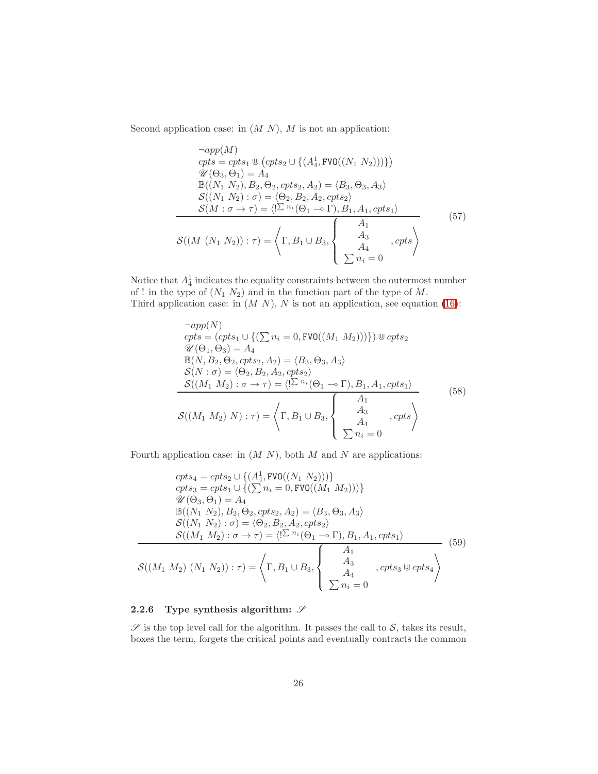Second application case: in  $(M N)$ ,  $M$  is not an application:

$$
\neg app(M)
$$
  
\n
$$
cpts = cpts_1 \cup (cpts_2 \cup \{(A_4^1, FVO((N_1 N_2)))\})
$$
  
\n
$$
\mathcal{U}(\Theta_3, \Theta_1) = A_4
$$
  
\n
$$
\mathbb{B}((N_1 N_2), B_2, \Theta_2, cpts_2, A_2) = \langle B_3, \Theta_3, A_3 \rangle
$$
  
\n
$$
\mathcal{S}((N_1 N_2) : \sigma) = \langle \Theta_2, B_2, A_2, cpts_2 \rangle
$$
  
\n
$$
\mathcal{S}(M : \sigma \to \tau) = \langle !\mathcal{L}^{n_i}(\Theta_1 \to \Gamma), B_1, A_1, cpts_1 \rangle
$$
  
\n
$$
\mathcal{S}((M (N_1 N_2)) : \tau) = \left\langle \Gamma, B_1 \cup B_3, \begin{cases} A_1 & \text{at } A_3 \\ A_3 & \text{at } A_4 \\ \sum n_i = 0 \end{cases} \right\rangle
$$
\n(57)

Notice that  $A_4^1$  indicates the equality constraints between the outermost number of ! in the type of  $(N_1 N_2)$  and in the function part of the type of M. Third application case: in  $(M N)$ , N is not an application, see equation [\(16\)](#page-13-1):

$$
\neg app(N)
$$
  
\n
$$
cpts = (cpts_1 \cup \{(\sum n_i = 0, \text{FVO}((M_1 M_2)))\}) \cup cpts_2
$$
  
\n
$$
\mathcal{U}(\Theta_1, \Theta_3) = A_4
$$
  
\n
$$
\mathbb{B}(N, B_2, \Theta_2, cpts_2, A_2) = \langle B_3, \Theta_3, A_3 \rangle
$$
  
\n
$$
\mathcal{S}(N : \sigma) = \langle \Theta_2, B_2, A_2, cpts_2 \rangle
$$
  
\n
$$
\mathcal{S}((M_1 M_2) : \sigma \to \tau) = \langle !\mathcal{I}^{n_i}(\Theta_1 \to \Gamma), B_1, A_1, cpts_1 \rangle
$$
  
\n
$$
\mathcal{S}((M_1 M_2) N) : \tau) = \left\langle \Gamma, B_1 \cup B_3, \begin{cases} A_1 & \text{, } \mathcal{O}(t_1 \to \Gamma) \\ A_2 & \text{, } \mathcal{O}(t_2 \to \Gamma) \\ A_3 & \text{, } \mathcal{O}(t_3 \to \Gamma) \end{cases} \right\rangle
$$
\n
$$
\left\langle \frac{A_1}{\sum n_i = 0} \right\rangle
$$
\n
$$
(58)
$$

Fourth application case: in  $(M N)$ , both  $M$  and  $N$  are applications:

$$
cpts_4 = cpts_2 \cup \{ (A_4^1, FVO((N_1 N_2))) \}
$$
  
\n
$$
cpts_3 = cpts_1 \cup \{ (\sum n_i = 0, FVO((M_1 M_2))) \}
$$
  
\n
$$
\mathcal{U}(\Theta_3, \Theta_1) = A_4
$$
  
\n
$$
\mathbb{B}((N_1 N_2), B_2, \Theta_2, cpts_2, A_2) = \langle B_3, \Theta_3, A_3 \rangle
$$
  
\n
$$
\mathcal{S}((N_1 N_2) : \sigma) = \langle \Theta_2, B_2, A_2, cpts_2 \rangle
$$
  
\n
$$
\mathcal{S}((M_1 M_2) : \sigma \to \tau) = \langle !\sum n_i (\Theta_1 \to \Gamma), B_1, A_1, cpts_1 \rangle
$$
  
\n
$$
\mathcal{S}((M_1 M_2) (N_1 N_2)) : \tau) = \left\langle \Gamma, B_1 \cup B_3, \begin{cases} A_1 \\ A_3 \\ A_4 \\ \sum n_i = 0 \end{cases}, cpts_3 \otimes \sigma_{\tau} \right\rangle
$$
  
\n(59)

### 2.2.6 Type synthesis algorithm:  $\mathscr S$

 $\mathscr S$  is the top level call for the algorithm. It passes the call to  $\mathcal S$ , takes its result, boxes the term, forgets the critical points and eventually contracts the common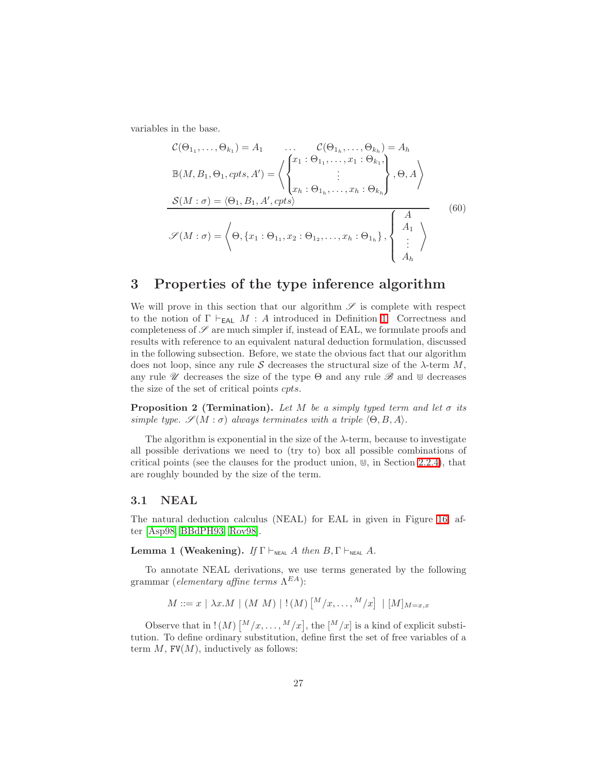<span id="page-26-2"></span>variables in the base.

$$
\mathcal{C}(\Theta_{1_1}, \dots, \Theta_{k_1}) = A_1 \qquad \dots \qquad \mathcal{C}(\Theta_{1_h}, \dots, \Theta_{k_h}) = A_h
$$
  
\n
$$
\mathbb{B}(M, B_1, \Theta_1, \text{cpts}, A') = \left\langle \begin{cases} x_1 : \Theta_{1_1}, \dots, x_1 : \Theta_{k_1}, \\ \vdots \\ x_h : \Theta_{1_h}, \dots, x_h : \Theta_{k_h} \end{cases} \right\rangle, \Theta, A \right\rangle
$$
  
\n
$$
\mathcal{S}(M : \sigma) = \left\langle \Theta_1, B_1, A', \text{cpts} \right\rangle
$$
  
\n
$$
\mathcal{S}(M : \sigma) = \left\langle \Theta_1 \{x_1 : \Theta_{1_1}, x_2 : \Theta_{1_2}, \dots, x_h : \Theta_{1_h} \}, \begin{cases} A \\ A_1 \\ \vdots \\ A_h \end{cases} \right\rangle
$$
  
\n(60)

### <span id="page-26-1"></span>3 Properties of the type inference algorithm

We will prove in this section that our algorithm  $\mathscr S$  is complete with respect to the notion of  $\Gamma \vdash_{EAL} M : A$  introduced in Definition [1.](#page-5-3) Correctness and completeness of  $\mathscr S$  are much simpler if, instead of EAL, we formulate proofs and results with reference to an equivalent natural deduction formulation, discussed in the following subsection. Before, we state the obvious fact that our algorithm does not loop, since any rule S decreases the structural size of the  $\lambda$ -term M, any rule  $\mathscr U$  decreases the size of the type  $\Theta$  and any rule  $\mathscr B$  and  $\mathbb U$  decreases the size of the set of critical points cpts.

**Proposition 2 (Termination).** Let M be a simply typed term and let  $\sigma$  its simple type.  $\mathscr{S}(M : \sigma)$  always terminates with a triple  $\langle \Theta, B, A \rangle$ .

The algorithm is exponential in the size of the  $\lambda$ -term, because to investigate all possible derivations we need to (try to) box all possible combinations of critical points (see the clauses for the product union,  $\mathbb{U}$ , in Section [2.2.4\)](#page-23-0), that are roughly bounded by the size of the term.

### <span id="page-26-0"></span>3.1 NEAL

<span id="page-26-3"></span>The natural deduction calculus (NEAL) for EAL in given in Figure [16,](#page-27-0) after [\[Asp98,](#page-41-1) [BBdPH93,](#page-41-7) [Rov98\]](#page-42-9).

**Lemma 1 (Weakening).** If  $\Gamma \vdash_{\text{NEAL}} A$  then  $B, \Gamma \vdash_{\text{NEAL}} A$ .

To annotate NEAL derivations, we use terms generated by the following grammar (elementary affine terms  $\Lambda^{EA}$ ):

$$
M ::= x \mid \lambda x.M \mid (M\ M) \mid !(M) \left[ \frac{M}{x}, \dots, \frac{M}{x} \right] \mid [M]_{M=x,x}
$$

Observe that in  $!(M)$   $\lceil M/x, \ldots, M/x \rceil$ , the  $\lceil M/x \rceil$  is a kind of explicit substitution. To define ordinary substitution, define first the set of free variables of a term  $M$ , FV $(M)$ , inductively as follows: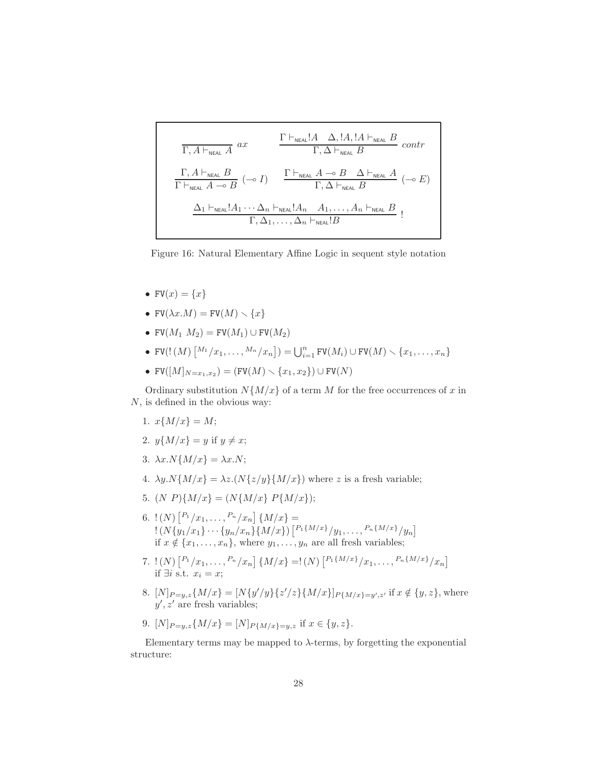$$
\frac{\Gamma \vdash_{\text{NEAL}} A \Delta, !A, !A \vdash_{\text{NEAL}} B}{\Gamma, A \vdash_{\text{NEAL}} B} \text{ contr}
$$
\n
$$
\frac{\Gamma \vdash_{\text{NEAL}} !A \Delta, !A, !A \vdash_{\text{NEAL}} B}{\Gamma \vdash_{\text{NEAL}} A \multimap B} \text{ contr}
$$
\n
$$
\frac{\Gamma \vdash_{\text{NEAL}} A \multimap B \Delta \vdash_{\text{NEAL}} A}{\Gamma, \Delta \vdash_{\text{NEAL}} B} (\multimap E)
$$
\n
$$
\frac{\Delta_1 \vdash_{\text{NEAL}} !A_1 \cdots \Delta_n \vdash_{\text{NEAL}} !A_n \quad A_1, \ldots, A_n \vdash_{\text{NEAL}} B}{\Gamma, \Delta_1, \ldots, \Delta_n \vdash_{\text{NEAL}} !B}!
$$

<span id="page-27-0"></span>Figure 16: Natural Elementary Affine Logic in sequent style notation

- $FV(x) = \{x\}$
- FV $(\lambda x.M)$  = FV $(M) \setminus \{x\}$
- FV $(M_1 M_2)$  = FV $(M_1)$   $\cup$  FV $(M_2)$
- FV(!  $(M)$   $\binom{M_1}{x_1}, \ldots, \frac{M_n}{x_n}$ ) =  $\bigcup_{i=1}^n$  FV $(M_i) \cup FV(M) \setminus \{x_1, \ldots, x_n\}$
- FV( $[M]_{N=x_1,x_2}$ ) = (FV( $M$ )  $\setminus$  { $x_1, x_2$ })  $\cup$  FV( $N$ )

Ordinary substitution  $N\{M/x\}$  of a term M for the free occurrences of x in N, is defined in the obvious way:

- 1.  $x\{M/x\} = M;$
- 2.  $y{M/x} = y$  if  $y \neq x$ ;
- 3.  $\lambda x.N\{M/x\} = \lambda x.N;$
- 4.  $\lambda y. N\{M/x\} = \lambda z. (N\{z/y\}\{M/x\})$  where z is a fresh variable;
- 5.  $(N P)\{M/x\} = (N\{M/x\} P\{M/x\});$
- 6.  $!(N)\left[ \binom{P_1}{x_1}, \ldots, \binom{P_n}{x_n} \right] \{M/x\} =$  $! (N{y_1/x_1}) \cdots {y_n/x_n} \{M/x\})$   $\left[ \frac{P_1{M/x}}{y_1, \ldots, \frac{P_n{M/x}}{y_n}} \right]$ if  $x \notin \{x_1, \ldots, x_n\}$ , where  $y_1, \ldots, y_n$  are all fresh variables;
- 7.  $!(N)\left[ \binom{P_1}{x_1}, \ldots, \binom{P_n}{x_n} \right] \{M/x\} =!(N)\left[ \binom{P_1\{M/x\}}{x_1}, \ldots, \binom{P_n\{M/x\}}{x_n} \right]$ if  $\exists i$  s.t.  $x_i = x;$
- 8.  $[N]_{P=y,z}\{M/x\} = [N\{y'/y\}\{z'/z\}\{M/x\}]_{P\{M/x\}=y',z'}$  if  $x \notin \{y,z\}$ , where  $y', z'$  are fresh variables;

9. 
$$
[N]_{P=y,z}\{M/x\} = [N]_{P\{M/x\}=y,z}
$$
 if  $x \in \{y,z\}$ .

Elementary terms may be mapped to  $\lambda$ -terms, by forgetting the exponential structure: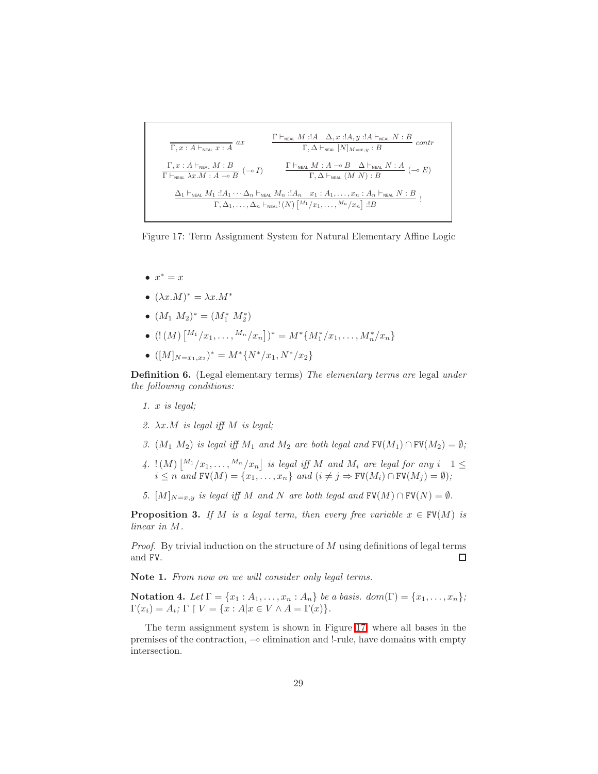$$
\frac{\Gamma \vdash_{\text{NEAL}} M : !A \Delta, x : !A, y : !A \vdash_{\text{NEAL}} N : B}{\Gamma, \Delta \vdash_{\text{NEAL}} [N]_{M=x,y} : B} \text{ contr}
$$
\n
$$
\frac{\Gamma, x : A \vdash_{\text{NEAL}} M : B}{\Gamma \vdash_{\text{NEAL}} \lambda x . M : A \multimap B} (\neg \circ I) \qquad \frac{\Gamma \vdash_{\text{NEAL}} M : A \multimap B \Delta \vdash_{\text{NEAL}} N : A}{\Gamma, \Delta \vdash_{\text{NEAL}} (M N) : B} (\neg \circ E)
$$
\n
$$
\frac{\Delta_1 \vdash_{\text{NEAL}} M_1 : !A_1 \cdots \Delta_n \vdash_{\text{NEAL}} M_n : !A_n \quad x_1 : A_1, \dots, x_n : A_n \vdash_{\text{NEAL}} N : B}{\Gamma, \Delta_1, \dots, \Delta_n \vdash_{\text{NEAL}} [(N) [\frac{M_1}{x_1}, \dots, \frac{M_n}{x_n}] : !B} !B}
$$

<span id="page-28-0"></span>Figure 17: Term Assignment System for Natural Elementary Affine Logic

- $x^* = x$
- $(\lambda x.M)^* = \lambda x.M^*$
- $(M_1 M_2)^* = (M_1^* M_2^*)$
- $(!(M)\begin{bmatrix} M_1/x_1, \ldots, M_n/x_n \end{bmatrix})^* = M^* \{M_1^*/x_1, \ldots, M_n^*/x_n\}$
- $([M]_{N=x_1,x_2})^* = M^* \{N^*/x_1, N^*/x_2\}$

Definition 6. (Legal elementary terms) The elementary terms are legal under the following conditions:

- 1. x is legal;
- 2.  $\lambda x.M$  is legal iff M is legal;
- 3.  $(M_1 M_2)$  is legal iff  $M_1$  and  $M_2$  are both legal and  $\text{FV}(M_1) \cap \text{FV}(M_2) = \emptyset$ ;
- $\mathcal{H}_4$ .  $\{ (M) \big[ \begin{smallmatrix} M_1 & \cdots & M_n \end{smallmatrix} \mid x_n \big]$  is legal iff M and  $M_i$  are legal for any  $i$   $1 \leq i \leq n$  $i \leq n$  and  $\text{FV}(M) = \{x_1, \ldots, x_n\}$  and  $(i \neq j \Rightarrow \text{FV}(M_i) \cap \text{FV}(M_j) = \emptyset)$ ;
- 5.  $[M]_{N=x,y}$  is legal iff M and N are both legal and  $\text{FV}(M) \cap \text{FV}(N) = \emptyset$ .

**Proposition 3.** If M is a legal term, then every free variable  $x \in \text{FV}(M)$  is linear in M.

*Proof.* By trivial induction on the structure of  $M$  using definitions of legal terms and FV.  $\Box$ 

Note 1. From now on we will consider only legal terms.

Notation 4. Let  $\Gamma = \{x_1 : A_1, \ldots, x_n : A_n\}$  be a basis. dom( $\Gamma$ ) =  $\{x_1, \ldots, x_n\}$ ;  $\Gamma(x_i) = A_i; \Gamma \upharpoonright V = \{x : A | x \in V \wedge A = \Gamma(x) \}.$ 

The term assignment system is shown in Figure [17,](#page-28-0) where all bases in the premises of the contraction, ⊸ elimination and !-rule, have domains with empty intersection.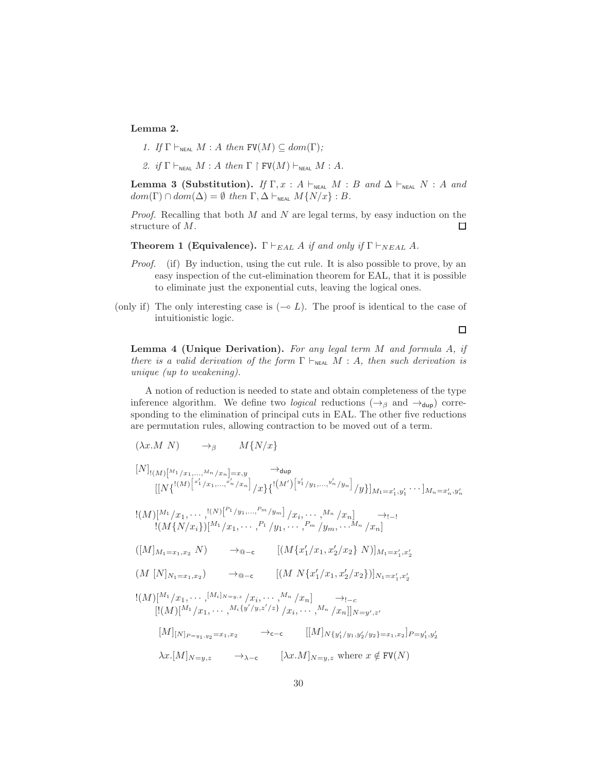### Lemma 2.

1. If  $\Gamma \vdash_{\text{NFAI}} M : A$  then  $\text{FV}(M) \subseteq dom(\Gamma);$ 

2. if  $\Gamma \vdash_{\text{NEAL}} M : A \text{ then } \Gamma \upharpoonright \text{FV}(M) \vdash_{\text{NEAL}} M : A$ .

Lemma 3 (Substitution). If  $\Gamma, x : A \vdash_{NEAL} M : B \text{ and } \Delta \vdash_{NEAL} N : A \text{ and }$  $dom(\Gamma) \cap dom(\Delta) = \emptyset$  then  $\Gamma, \Delta \vdash_{NEAL} M\{N/x\} : B$ .

*Proof.* Recalling that both  $M$  and  $N$  are legal terms, by easy induction on the structure of M. 口

**Theorem 1 (Equivalence).** Γ  $\vdash_{EAL} A$  if and only if  $\Gamma \vdash_{NEAL} A$ .

- *Proof.* (if) By induction, using the cut rule. It is also possible to prove, by an easy inspection of the cut-elimination theorem for EAL, that it is possible to eliminate just the exponential cuts, leaving the logical ones.
- (only if) The only interesting case is  $(\neg$  L). The proof is identical to the case of intuitionistic logic.

Lemma 4 (Unique Derivation). For any legal term M and formula A, if there is a valid derivation of the form  $\Gamma \vdash_{NFA} M : A$ , then such derivation is unique (up to weakening).

A notion of reduction is needed to state and obtain completeness of the type inference algorithm. We define two *logical* reductions ( $\rightarrow$ <sub>β</sub> and  $\rightarrow$ <sub>dup</sub>) corresponding to the elimination of principal cuts in EAL. The other five reductions are permutation rules, allowing contraction to be moved out of a term.

$$
(\lambda x.M \ N) \qquad \to_{\beta} \qquad M\{N/x\}
$$

$$
[N]_{!(M)}[M_{1/x_{1},...,M_{n}/x_{n}}]=x,y \longrightarrow_{\text{dup}}
$$
  
\n
$$
[[N\{^{!(M)}[x'_{1}/x_{1},...,x'_{n}/x_{n}]/x\}\{^{!(M')}[y'_{1}/y_{1},...,y'_{n}/y_{n}]/y\}]_{M_{1}=x'_{1},y'_{1}}\cdots]_{M_{n}=x'_{n},y'_{n}}
$$
  
\n
$$
[(M)[M_{1/x_{1}},...,M_{n}/x_{n}]/x_{1},...,M_{n/x_{n}}]\longrightarrow_{\text{t}}
$$

$$
\frac{!(M)[^{M_1}/x_1,\cdots,^{!(N)}[^{P_1}/y_1,\ldots,^{P_m}/y_m]}{(M{N/x_i})[^{M_1}/x_1,\cdots,^{P_1}/y_1,\cdots,^{P_m}/y_m,\cdots,^{M_n}/x_n]} \rightarrow_{!-1}
$$

 $([M]_{M_1=x_1,x_2} N$  → 
<sub>△</sub>–c  $[(M\{x'_1/x_1,x'_2/x_2\} N)]_{M_1=x'_1,x'_2}$ 

$$
(M [N]_{N_1 = x_1, x_2}) \longrightarrow_{\mathbf{Q-c}} [ (M N \{x'_1/x_1, x'_2/x_2\})]_{N_1 = x'_1, x'_2}
$$

$$
!(M)[^{M_1}/x_1, \cdots, ^{[M_i]_{N=y,z}}/x_i, \cdots, ^{M_n}/x_n] \longrightarrow_{!-c}
$$
  
\n
$$
[(M)[^{M_1}/x_1, \cdots, ^{M_i}{y'y,z'z}]\ /x_i, \cdots, ^{M_n}/x_n]]_{N=y',z'}
$$
  
\n
$$
[M]_{[N]_{P=y_1,y_2}=x_1,x_2} \longrightarrow_{c-c} [[M]_{N{y'_1/y_1,y'_2/y_2}=x_1,x_2}]_{P=y'_1,y'_2}
$$
  
\n
$$
\lambda x.[M]_{N=y,z} \longrightarrow_{\lambda-c} [\lambda x.M]_{N=y,z} \text{ where } x \notin \text{FV}(N)
$$

 $\Box$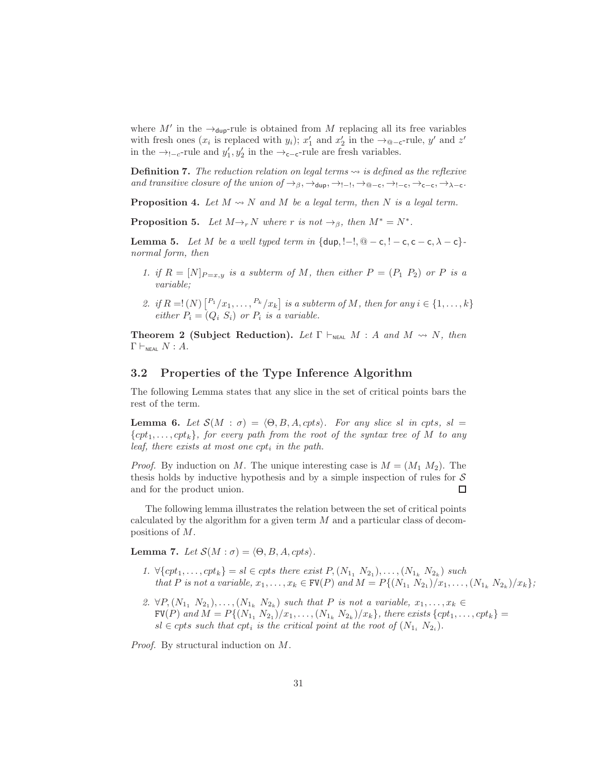where  $M'$  in the  $\rightarrow$ <sub>dup</sub>-rule is obtained from M replacing all its free variables with fresh ones ( $x_i$  is replaced with  $y_i$ );  $x'_1$  and  $x'_2$  in the  $\rightarrow_{\text{@-c}}$ -rule,  $y'$  and  $z'$ in the →<sub>!−c</sub>-rule and  $y'_1, y'_2$  in the →<sub>c−c</sub>-rule are fresh variables.

**Definition 7.** The reduction relation on legal terms  $\rightsquigarrow$  is defined as the reflexive and transitive closure of the union of  $\rightarrow_{\beta}$ ,  $\rightarrow_{\text{dup}}$ ,  $\rightarrow_{\text{l-}1}$ ,  $\rightarrow_{\text{@-}c}$ ,  $\rightarrow_{\text{l-c}}$ ,  $\rightarrow_{\text{c-c}}$ ,  $\rightarrow_{\lambda-\text{c}}$ .

<span id="page-30-3"></span>**Proposition 4.** Let  $M \rightsquigarrow N$  and  $M$  be a legal term, then  $N$  is a legal term.

**Proposition 5.** Let  $M \rightarrow_r N$  where r is not  $\rightarrow_{\beta}$ , then  $M^* = N^*$ .

<span id="page-30-1"></span>Lemma 5. Let M be a well typed term in  $\{\text{dup}, \text{!--l}, \text{@}-c, \text{!--c}, c-c, \lambda-c\}$ normal form, then

- 1. if  $R = [N]_{P=x,y}$  is a subterm of M, then either  $P = (P_1 \ P_2)$  or P is a variable;
- 2. if  $R = \lfloor (N) \lfloor P_1/x_1, \ldots, P_k/x_k \rfloor$  is a subterm of M, then for any  $i \in \{1, \ldots, k\}$ either  $P_i = (Q_i \ S_i)$  or  $P_i$  is a variable.

<span id="page-30-4"></span>**Theorem 2 (Subject Reduction).** Let  $\Gamma \vdash_{NFAL} M : A$  and  $M \rightsquigarrow N$ , then  $\Gamma \vdash_{\texttt{NEAL}} N : A$ .

#### 3.2 Properties of the Type Inference Algorithm

<span id="page-30-0"></span>The following Lemma states that any slice in the set of critical points bars the rest of the term.

Lemma 6. Let  $S(M : \sigma) = \langle \Theta, B, A, cpts \rangle$ . For any slice sl in cpts, sl =  $\{cpt_1,\ldots,cpt_k\}$ , for every path from the root of the syntax tree of M to any leaf, there exists at most one  $cpt_i$  in the path.

*Proof.* By induction on M. The unique interesting case is  $M = (M_1 M_2)$ . The thesis holds by inductive hypothesis and by a simple inspection of rules for  $\mathcal S$ and for the product union.  $\Box$ 

The following lemma illustrates the relation between the set of critical points calculated by the algorithm for a given term M and a particular class of decompositions of M.

<span id="page-30-2"></span>Lemma 7. Let  $S(M : \sigma) = \langle \Theta, B, A, cpts \rangle$ .

- 1.  $\forall \{cpt_1, ..., cpt_k\} = sl \in cpts$  there exist  $P, (N_{1_1} N_{2_1}), ..., (N_{1_k} N_{2_k})$  such that P is not a variable,  $x_1, ..., x_k \in \text{FV}(P)$  and  $M = P\{(N_{11}, N_{21})/x_1, ..., (N_{1k}, N_{2k})/x_k\}$ ;
- 2.  $\forall P, (N_{1}, N_{21}), \ldots, (N_{1k}, N_{2k})$  such that P is not a variable,  $x_1, \ldots, x_k \in$  $\texttt{FV}(P) \ and \ M = P\{(N_{1_1} N_{2_1})/x_1, \ldots, (N_{1_k} N_{2_k})/x_k\}, \ there \ exists \ \{cpt_1, \ldots, cpt_k\} = \emptyset.$  $sl \in cpts$  such that  $cpt_i$  is the critical point at the root of  $(N_{1_i} N_{2_i})$ .

Proof. By structural induction on M.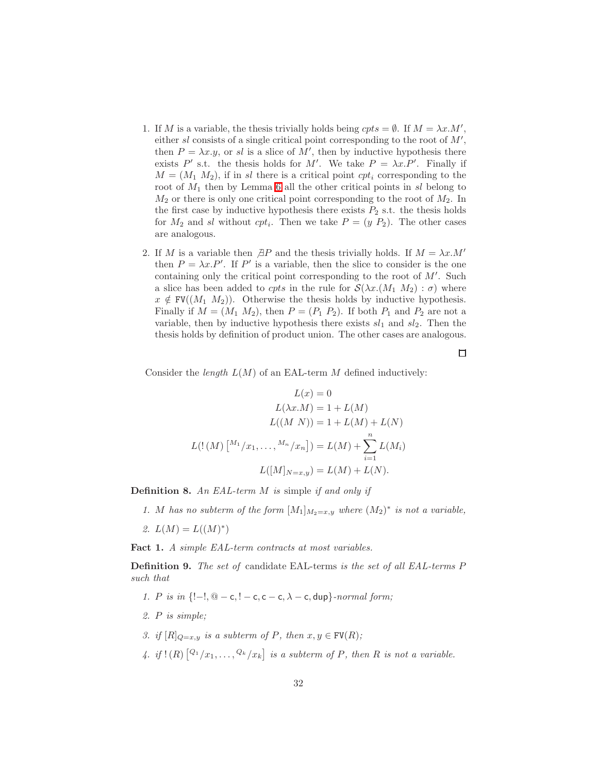- 1. If M is a variable, the thesis trivially holds being  $crts = \emptyset$ . If  $M = \lambda x.M'$ , either  $sl$  consists of a single critical point corresponding to the root of  $M'$ , then  $P = \lambda x \cdot y$ , or sl is a slice of M', then by inductive hypothesis there exists P' s.t. the thesis holds for M'. We take  $P = \lambda x.P'$ . Finally if  $M = (M_1, M_2)$ , if in sl there is a critical point cpt<sub>i</sub> corresponding to the root of  $M_1$  then by Lemma [6](#page-30-0) all the other critical points in sl belong to  $M_2$  or there is only one critical point corresponding to the root of  $M_2$ . In the first case by inductive hypothesis there exists  $P_2$  s.t. the thesis holds for  $M_2$  and sl without  $cpt_i$ . Then we take  $P = (y \ P_2)$ . The other cases are analogous.
- 2. If M is a variable then  $\beta P$  and the thesis trivially holds. If  $M = \lambda x.M'$ then  $P = \lambda x.P'$ . If P' is a variable, then the slice to consider is the one containing only the critical point corresponding to the root of  $M'$ . Such a slice has been added to cpts in the rule for  $\mathcal{S}(\lambda x.(M_1 M_2) : \sigma)$  where  $x \notin \text{FV}((M_1 \ M_2)).$  Otherwise the thesis holds by inductive hypothesis. Finally if  $M = (M_1 M_2)$ , then  $P = (P_1 P_2)$ . If both  $P_1$  and  $P_2$  are not a variable, then by inductive hypothesis there exists  $sl_1$  and  $sl_2$ . Then the thesis holds by definition of product union. The other cases are analogous.

 $\Box$ 

Consider the *length*  $L(M)$  of an EAL-term M defined inductively:

$$
L(x) = 0
$$

$$
L(\lambda x.M) = 1 + L(M)
$$

$$
L((M\ N)) = 1 + L(M) + L(N)
$$

$$
L((M\ N)) = L(M) + \sum_{i=1}^{n} L(M_i)
$$

$$
L([M]_{N=x,y}) = L(M) + L(N).
$$

Definition 8. An EAL-term M is simple if and only if

1. M has no subterm of the form  $[M_1]_{M_2=x,y}$  where  $(M_2)^*$  is not a variable,

2.  $L(M) = L((M)^*)$ 

<span id="page-31-0"></span>Fact 1. A simple EAL-term contracts at most variables.

Definition 9. The set of candidate EAL-terms is the set of all EAL-terms P such that

- 1. P is in  $\{-1, \mathcal{Q} \mathsf{c}, 1 \mathsf{c}, \mathsf{c} \mathsf{c}, \lambda \mathsf{c}, \mathsf{dup}\}\text{-}\mathit{normal form};$
- 2. P is simple;
- 3. if  $[R]_{Q=x,y}$  is a subterm of P, then  $x, y \in FV(R)$ ;
- 4. if  $!(R) \left[ \frac{Q_1}{x_1}, \ldots, \frac{Q_k}{x_k} \right]$  is a subterm of P, then R is not a variable.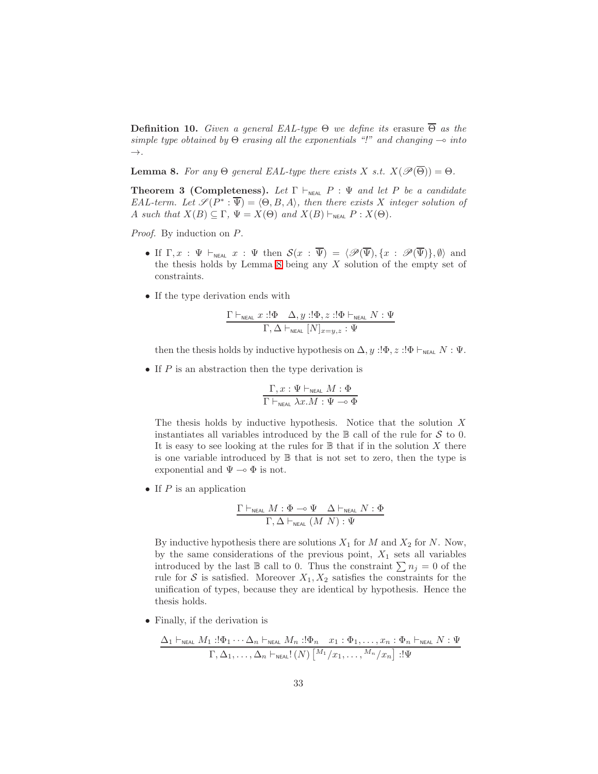**Definition 10.** Given a general EAL-type  $\Theta$  we define its erasure  $\overline{\Theta}$  as the simple type obtained by  $\Theta$  erasing all the exponentials "!" and changing  $\multimap$  into  $\rightarrow$ .

<span id="page-32-1"></span><span id="page-32-0"></span>**Lemma 8.** For any  $\Theta$  general EAL-type there exists X s.t.  $X(\mathscr{P}(\overline{\Theta})) = \Theta$ .

**Theorem 3 (Completeness).** Let  $\Gamma \vdash_{N \in \mathcal{A} \mathcal{L}} P : \Psi$  and let P be a candidate EAL-term. Let  $\mathscr{S}(P^* : \overline{\Psi}) = \langle \Theta, B, A \rangle$ , then there exists X integer solution of A such that  $X(B) \subseteq \Gamma$ ,  $\Psi = X(\Theta)$  and  $X(B) \vdash_{NEAL} P : X(\Theta)$ .

Proof. By induction on  $P$ .

- If  $\Gamma, x : \Psi \vdash_{\text{NEAL}} x : \Psi$  then  $\mathcal{S}(x : \overline{\Psi}) = \langle \mathscr{P}(\overline{\Psi}), \{x : \mathscr{P}(\overline{\Psi})\}, \emptyset \rangle$  and the thesis holds by Lemma  $8$  being any  $X$  solution of the empty set of constraints.
- If the type derivation ends with

$$
\frac{\Gamma \vdash_{\text{neal}} x : !\Phi \quad \Delta, y : !\Phi, z : !\Phi \vdash_{\text{neal}} N : \Psi}{\Gamma, \Delta \vdash_{\text{neal}} [N]_{x=y,z} : \Psi}
$$

then the thesis holds by inductive hypothesis on  $\Delta$ , y :! $\Phi$ , z :! $\Phi \vdash_{\text{NEAL}} N : \Psi$ .

• If  $P$  is an abstraction then the type derivation is

$$
\frac{\Gamma, x: \Psi \vdash_{\text{neal}} M: \Phi}{\Gamma \vdash_{\text{neal}} \lambda x.M: \Psi \multimap \Phi}
$$

The thesis holds by inductive hypothesis. Notice that the solution  $X$ instantiates all variables introduced by the  $\mathbb B$  call of the rule for S to 0. It is easy to see looking at the rules for  $\mathbb B$  that if in the solution X there is one variable introduced by B that is not set to zero, then the type is exponential and  $\Psi \multimap \Phi$  is not.

• If  $P$  is an application

$$
\frac{\Gamma \vdash_{\text{neal}} M : \Phi \multimap \Psi \quad \Delta \vdash_{\text{neal}} N : \Phi}{\Gamma, \Delta \vdash_{\text{neal}} (M \ N) : \Psi}
$$

By inductive hypothesis there are solutions  $X_1$  for  $M$  and  $X_2$  for  $N$ . Now, by the same considerations of the previous point,  $X_1$  sets all variables introduced by the last  $\mathbb B$  call to 0. Thus the constraint  $\sum n_j = 0$  of the rule for S is satisfied. Moreover  $X_1, X_2$  satisfies the constraints for the unification of types, because they are identical by hypothesis. Hence the thesis holds.

• Finally, if the derivation is

$$
\frac{\Delta_1 \vdash_{\text{NEAL}} M_1 : \Phi_1 \cdots \Delta_n \vdash_{\text{NEAL}} M_n : \Phi_n x_1 : \Phi_1, \ldots, x_n : \Phi_n \vdash_{\text{NEAL}} N : \Psi}{\Gamma, \Delta_1, \ldots, \Delta_n \vdash_{\text{NEAL}}! (N) \left[ \frac{M_1}{x_1}, \ldots, \frac{M_n}{x_n} \right] : \Psi}
$$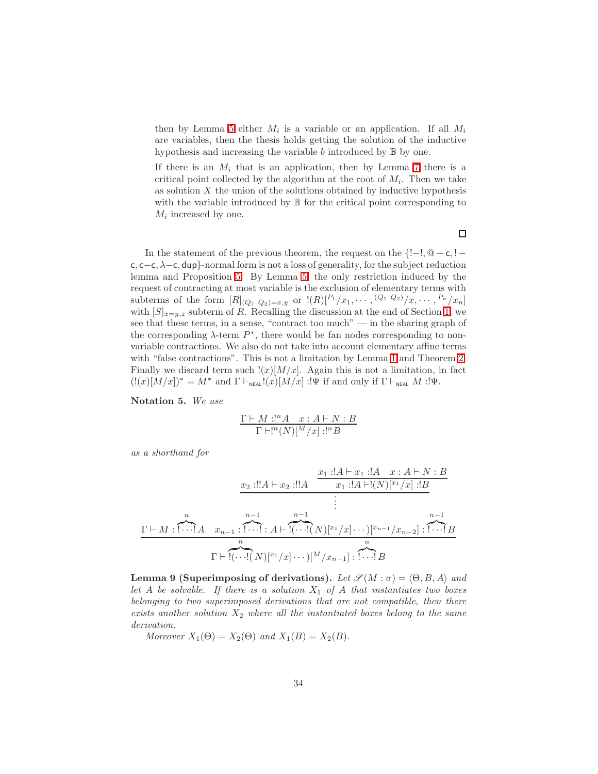then by Lemma [5](#page-30-1) either  $M_i$  is a variable or an application. If all  $M_i$ are variables, then the thesis holds getting the solution of the inductive hypothesis and increasing the variable  $b$  introduced by  $\mathbb B$  by one.

If there is an  $M_i$  that is an application, then by Lemma [7](#page-30-2) there is a critical point collected by the algorithm at the root of  $M_i$ . Then we take as solution  $X$  the union of the solutions obtained by inductive hypothesis with the variable introduced by  $\mathbb B$  for the critical point corresponding to  $M_i$  increased by one.

In the statement of the previous theorem, the request on the  $\{-1, \mathbb{Q} - \mathsf{c}, -1\}$ c, c−c, λ−c, dup}-normal form is not a loss of generality, for the subject reduction lemma and Proposition [5.](#page-30-3) By Lemma [5,](#page-30-1) the only restriction induced by the request of contracting at most variable is the exclusion of elementary terms with subterms of the form  $[R]_{(Q_1 \ Q_2)=x,y}$  or  $!(R) \begin{bmatrix} P_1/x_1, \cdots, (Q_1 \ Q_2)/x, \cdots, P_n/x_n \end{bmatrix}$ with  $[S]_{x=y,z}$  subterm of R. Recalling the discussion at the end of Section [1,](#page-1-0) we see that these terms, in a sense, "contract too much" — in the sharing graph of the corresponding  $\lambda$ -term  $P^*$ , there would be fan nodes corresponding to nonvariable contractions. We also do not take into account elementary affine terms with "false contractions". This is not a limitation by Lemma [1](#page-26-3) and Theorem [2.](#page-30-4) Finally we discard term such  $!(x)[M/x]$ . Again this is not a limitation, in fact  $(!(x)[M/x])^* = M^*$  and  $\Gamma \vdash_{\text{NEAL}}!(x)[M/x] : !\Psi$  if and only if  $\Gamma \vdash_{\text{NEAL}} M : !\Psi$ .

Notation 5. We use

$$
\frac{\Gamma \vdash M : !^{n} A \quad x : A \vdash N : B}{\Gamma \vdash !^{n}(N)[^{M}/x] : !^{n} B}
$$

as a shorthand for

Γ ⊢ M : n z}|{ ! · · ·! A x<sup>2</sup> :!!A ⊢ x<sup>2</sup> :!!A x<sup>1</sup> :!A ⊢ x<sup>1</sup> :!A x : A ⊢ N : B x<sup>1</sup> :!A ⊢!(N)[<sup>x</sup><sup>1</sup> /x] :!B . . . . xn−<sup>1</sup> : n−1 z}|{ ! · · ·! : A ⊢ n−1 z }| { !(· · ·!( N)[x<sup>1</sup> /x] · · ·)[xn−<sup>1</sup> /xn−2] : n−1 z}|{ ! · · ·! B Γ ⊢ n z }| { !(· · ·!( N)[x<sup>1</sup> /x] · · ·)[<sup>M</sup> /xn−1] : n z}|{ ! · · ·! B

<span id="page-33-0"></span>Lemma 9 (Superimposing of derivations). Let  $\mathscr{S}(M : \sigma) = \langle \Theta, B, A \rangle$  and let A be solvable. If there is a solution  $X_1$  of A that instantiates two boxes belonging to two superimposed derivations that are not compatible, then there exists another solution  $X_2$  where all the instantiated boxes belong to the same derivation.

Moreover  $X_1(\Theta) = X_2(\Theta)$  and  $X_1(B) = X_2(B)$ .

 $\Box$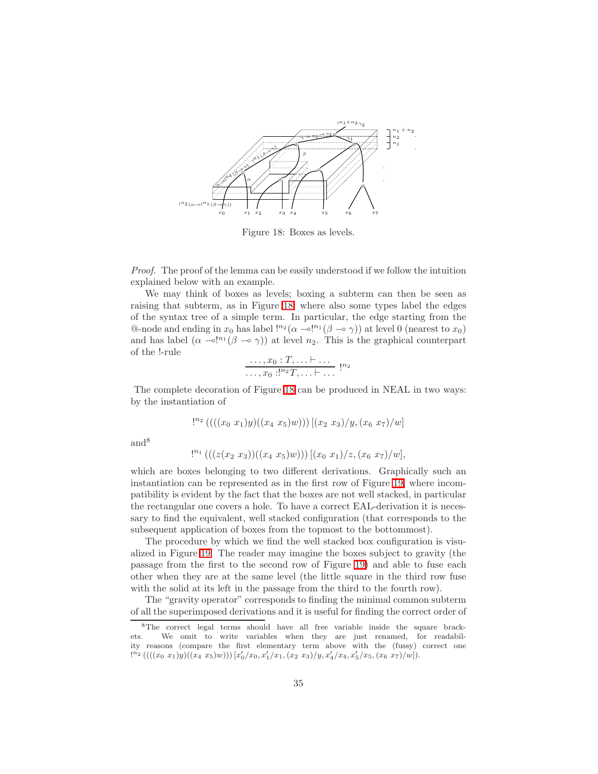

<span id="page-34-0"></span>Figure 18: Boxes as levels.

Proof. The proof of the lemma can be easily understood if we follow the intuition explained below with an example.

We may think of boxes as levels; boxing a subterm can then be seen as raising that subterm, as in Figure [18,](#page-34-0) where also some types label the edges of the syntax tree of a simple term. In particular, the edge starting from the Q-node and ending in  $x_0$  has label  $\frac{1}{2} (\alpha - \alpha)^{n_1} (\beta - \alpha \gamma)$  at level 0 (nearest to  $x_0$ ) and has label  $(\alpha \neg o!^{n_1}(\beta \neg o \gamma))$  at level  $n_2$ . This is the graphical counterpart of the !-rule

$$
\frac{\ldots, x_0: T, \ldots \vdash \ldots}{\ldots, x_0:!^{n_2}T, \ldots \vdash \ldots} \, !^{n_2}
$$

The complete decoration of Figure [18](#page-34-0) can be produced in NEAL in two ways: by the instantiation of

$$
!^{n_2} \left( \left( \left( (x_0 x_1) y \right) \left( (x_4 x_5) w \right) \right) \right) \left[ (x_2 x_3) / y, (x_6 x_7) / w \right]
$$

and<sup>8</sup>

$$
!^{n_1} \left( \left( \left( \left( \left( x_2 \; x_3 \right) \right) \left( \left( x_4 \; x_5 \right) w \right) \right) \right) \left[ \left( x_0 \; x_1 \right) / z, \left( x_6 \; x_7 \right) / w \right],
$$

which are boxes belonging to two different derivations. Graphically such an instantiation can be represented as in the first row of Figure [19,](#page-35-0) where incompatibility is evident by the fact that the boxes are not well stacked, in particular the rectangular one covers a hole. To have a correct EAL-derivation it is necessary to find the equivalent, well stacked configuration (that corresponds to the subsequent application of boxes from the topmost to the bottommost).

The procedure by which we find the well stacked box configuration is visualized in Figure [19.](#page-35-0) The reader may imagine the boxes subject to gravity (the passage from the first to the second row of Figure [19\)](#page-35-0) and able to fuse each other when they are at the same level (the little square in the third row fuse with the solid at its left in the passage from the third to the fourth row).

The "gravity operator" corresponds to finding the minimal common subterm of all the superimposed derivations and it is useful for finding the correct order of

<sup>8</sup>The correct legal terms should have all free variable inside the square brackets. We omit to write variables when they are just renamed, for readability reasons (compare the first elementary term above with the (fussy) correct one  $\overline{C^{n_{2}}\left(((x_{0}\;x_{1})y)((x_{4}\;x_{5})w)\right)[x'_{0}/x_{0},x'_{1}/x_{1},(x_{2}\;x_{3})/y,x'_{4}/x_{4},x'_{5}/x_{5},(x_{6}\;x_{7})/w]})}.$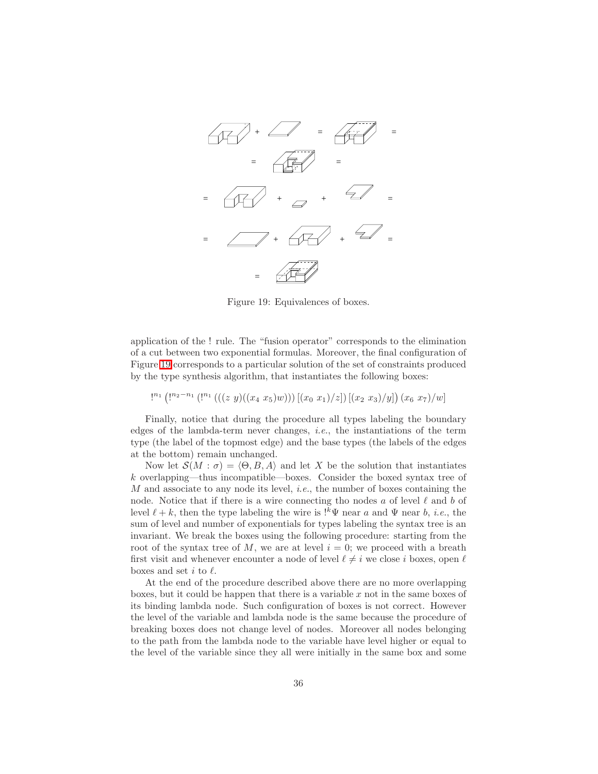

<span id="page-35-0"></span>Figure 19: Equivalences of boxes.

application of the ! rule. The "fusion operator" corresponds to the elimination of a cut between two exponential formulas. Moreover, the final configuration of Figure [19](#page-35-0) corresponds to a particular solution of the set of constraints produced by the type synthesis algorithm, that instantiates the following boxes:

 $\left[ \binom{n_2-n_1}{\cdots} \left( \binom{n_1}{\cdots} \left( \left( \binom{z}{y} \left( \binom{x_4}{x_5} w \right) \right) \right) \left[ \binom{x_0}{x_1} / z \right] \right) \left[ \binom{x_2}{x_3} / y \right] \right) \left( x_6 \ x_7 \right) / w \right]$ 

Finally, notice that during the procedure all types labeling the boundary edges of the lambda-term never changes, i.e., the instantiations of the term type (the label of the topmost edge) and the base types (the labels of the edges at the bottom) remain unchanged.

Now let  $\mathcal{S}(M : \sigma) = \langle \Theta, B, A \rangle$  and let X be the solution that instantiates k overlapping—thus incompatible—boxes. Consider the boxed syntax tree of  $M$  and associate to any node its level, *i.e.*, the number of boxes containing the node. Notice that if there is a wire connecting tho nodes a of level  $\ell$  and b of level  $\ell + k$ , then the type labeling the wire is  $\cdot^k \Psi$  near a and  $\Psi$  near b, *i.e.*, the sum of level and number of exponentials for types labeling the syntax tree is an invariant. We break the boxes using the following procedure: starting from the root of the syntax tree of M, we are at level  $i = 0$ ; we proceed with a breath first visit and whenever encounter a node of level  $\ell \neq i$  we close i boxes, open  $\ell$ boxes and set  $i$  to  $\ell$ .

At the end of the procedure described above there are no more overlapping boxes, but it could be happen that there is a variable  $x$  not in the same boxes of its binding lambda node. Such configuration of boxes is not correct. However the level of the variable and lambda node is the same because the procedure of breaking boxes does not change level of nodes. Moreover all nodes belonging to the path from the lambda node to the variable have level higher or equal to the level of the variable since they all were initially in the same box and some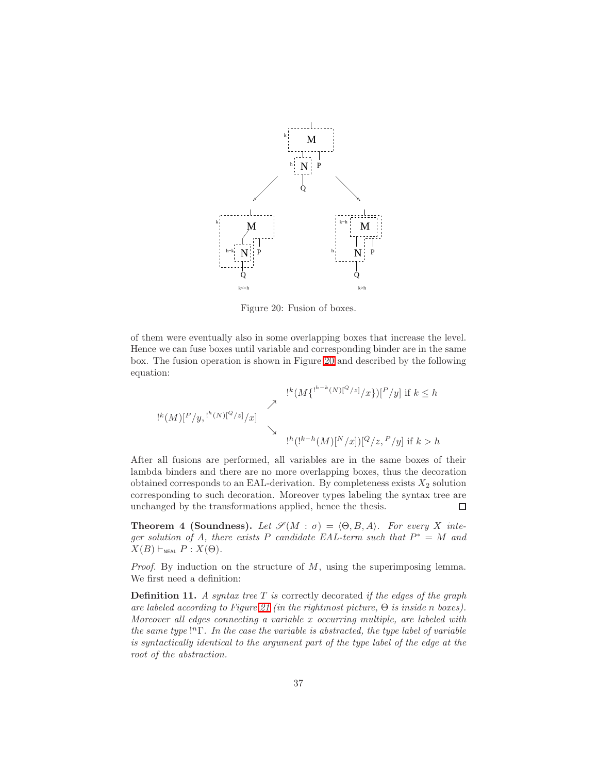

<span id="page-36-0"></span>Figure 20: Fusion of boxes.

of them were eventually also in some overlapping boxes that increase the level. Hence we can fuse boxes until variable and corresponding binder are in the same box. The fusion operation is shown in Figure [20](#page-36-0) and described by the following equation:

$$
!^{k}(M\{!^{h-k}(N)[^{Q}/z]/x\})[^{P}/y] \text{ if } k \leq h
$$
  

$$
!^{k}(M)[^{P}/y, \cdot ]^{h}(N)[^{Q}/z]/x]
$$
  

$$
!^{h}(!^{k-h}(M)[^{N}/x])[^{Q}/z, {^{P}/y}] \text{ if } k > h
$$

After all fusions are performed, all variables are in the same boxes of their lambda binders and there are no more overlapping boxes, thus the decoration obtained corresponds to an EAL-derivation. By completeness exists  $X_2$  solution corresponding to such decoration. Moreover types labeling the syntax tree are unchanged by the transformations applied, hence the thesis.  $\Box$ 

<span id="page-36-1"></span>**Theorem 4 (Soundness).** Let  $\mathscr{S}(M : \sigma) = \langle \Theta, B, A \rangle$ . For every X integer solution of A, there exists P candidate EAL-term such that  $P^* = M$  and  $X(B) \vdash_{NFAI} P : X(\Theta).$ 

*Proof.* By induction on the structure of  $M$ , using the superimposing lemma. We first need a definition:

**Definition 11.** A syntax tree  $T$  is correctly decorated if the edges of the graph are labeled according to Figure [21](#page-37-0) (in the rightmost picture, Θ is inside n boxes). Moreover all edges connecting a variable x occurring multiple, are labeled with the same type  $\lbrack$ <sup>n</sup> $\Gamma$ . In the case the variable is abstracted, the type label of variable is syntactically identical to the argument part of the type label of the edge at the root of the abstraction.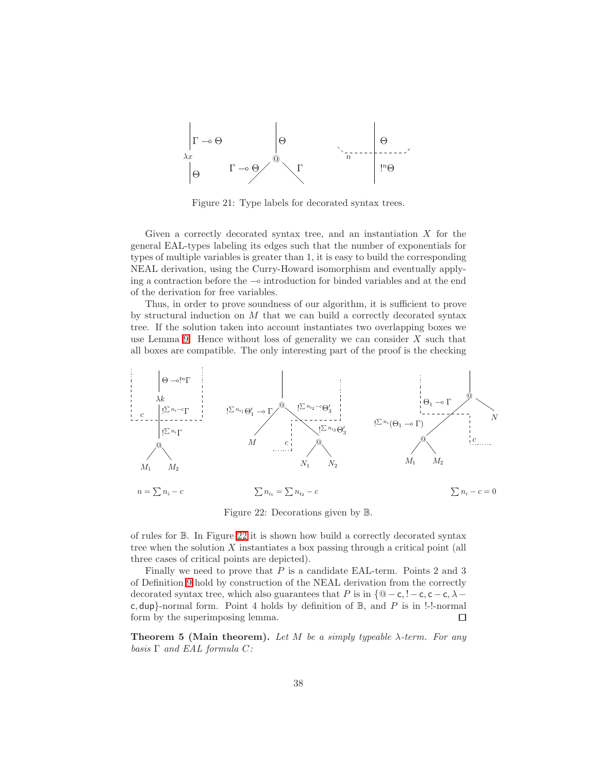

<span id="page-37-0"></span>Figure 21: Type labels for decorated syntax trees.

Given a correctly decorated syntax tree, and an instantiation  $X$  for the general EAL-types labeling its edges such that the number of exponentials for types of multiple variables is greater than 1, it is easy to build the corresponding NEAL derivation, using the Curry-Howard isomorphism and eventually applying a contraction before the ⊸ introduction for binded variables and at the end of the derivation for free variables.

Thus, in order to prove soundness of our algorithm, it is sufficient to prove by structural induction on  $M$  that we can build a correctly decorated syntax tree. If the solution taken into account instantiates two overlapping boxes we use Lemma [9.](#page-33-0) Hence without loss of generality we can consider  $X$  such that all boxes are compatible. The only interesting part of the proof is the checking



<span id="page-37-1"></span>Figure 22: Decorations given by B.

of rules for B. In Figure [22](#page-37-1) it is shown how build a correctly decorated syntax tree when the solution  $X$  instantiates a box passing through a critical point (all three cases of critical points are depicted).

Finally we need to prove that P is a candidate EAL-term. Points 2 and 3 of Definition [9](#page-31-0) hold by construction of the NEAL derivation from the correctly decorated syntax tree, which also guarantees that P is in  $\{\mathbb{Q} - \mathsf{c}, \mathsf{l} - \mathsf{c}, \mathsf{c} - \mathsf{c}, \lambda - \mathsf{c}\}$ c, dup}-normal form. Point 4 holds by definition of  $\mathbb{B}$ , and P is in !-!-normal form by the superimposing lemma.  $\Box$ 

**Theorem 5 (Main theorem).** Let M be a simply typeable  $\lambda$ -term. For any basis  $\Gamma$  and EAL formula C: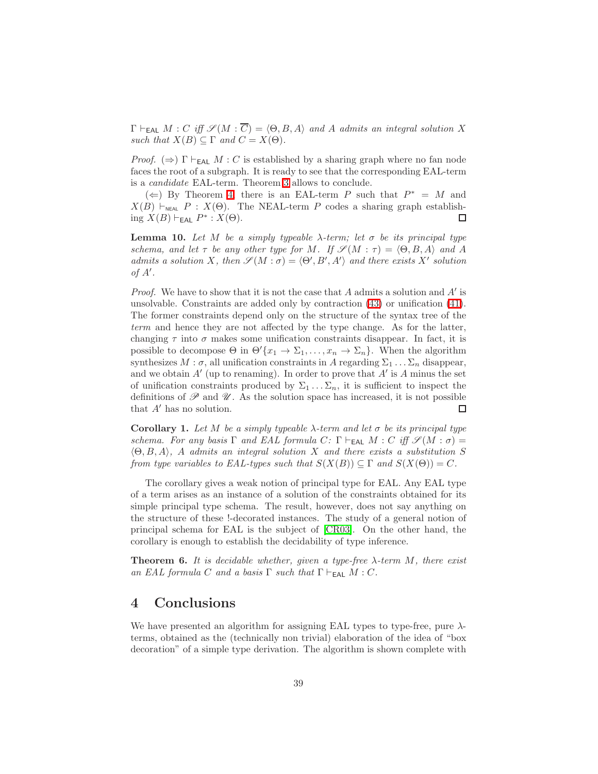$\Gamma \vdash_{\mathsf{EAL}} M : C \text{ iff } \mathscr{S}(M : \overline{C}) = \langle \Theta, B, A \rangle \text{ and } A \text{ admits an integral solution } X$ such that  $X(B) \subseteq \Gamma$  and  $C = X(\Theta)$ .

Proof.  $(\Rightarrow)$  Γ  $\vdash_{EAL} M : C$  is established by a sharing graph where no fan node faces the root of a subgraph. It is ready to see that the corresponding EAL-term is a candidate EAL-term. Theorem [3](#page-32-0) allows to conclude.

(←) By Theorem [4,](#page-36-1) there is an EAL-term P such that  $P^* = M$  and  $X(B) \vdash_{\text{NEAL}} P : X(\Theta)$ . The NEAL-term P codes a sharing graph establishing  $X(B) \vdash_{\mathsf{EAL}} P^* : X(\Theta)$ . □

**Lemma 10.** Let M be a simply typeable  $\lambda$ -term; let  $\sigma$  be its principal type schema, and let  $\tau$  be any other type for M. If  $\mathscr{S}(M : \tau) = \langle \Theta, B, A \rangle$  and A admits a solution X, then  $\mathscr{S}(M : \sigma) = \langle \Theta', B', A' \rangle$  and there exists X' solution of  $A'$ .

*Proof.* We have to show that it is not the case that  $A$  admits a solution and  $A'$  is unsolvable. Constraints are added only by contraction [\(43\)](#page-22-2) or unification [\(41\)](#page-21-1). The former constraints depend only on the structure of the syntax tree of the term and hence they are not affected by the type change. As for the latter, changing  $\tau$  into  $\sigma$  makes some unification constraints disappear. In fact, it is possible to decompose  $\Theta$  in  $\Theta'\{x_1 \to \Sigma_1, \ldots, x_n \to \Sigma_n\}$ . When the algorithm synthesizes  $M : \sigma$ , all unification constraints in A regarding  $\Sigma_1 \dots \Sigma_n$  disappear, and we obtain  $A'$  (up to renaming). In order to prove that  $A'$  is  $A$  minus the set of unification constraints produced by  $\Sigma_1 \dots \Sigma_n$ , it is sufficient to inspect the definitions of  $\mathscr P$  and  $\mathscr U$ . As the solution space has increased, it is not possible that A′ has no solution. □

Corollary 1. Let M be a simply typeable  $\lambda$ -term and let  $\sigma$  be its principal type schema. For any basis  $\Gamma$  and EAL formula C:  $\Gamma \vdash_{\mathsf{EAL}} M : C$  iff  $\mathscr{S}(M : \sigma) =$  $\langle \Theta, B, A \rangle$ , A admits an integral solution X and there exists a substitution S from type variables to EAL-types such that  $S(X(B)) \subseteq \Gamma$  and  $S(X(\Theta)) = C$ .

The corollary gives a weak notion of principal type for EAL. Any EAL type of a term arises as an instance of a solution of the constraints obtained for its simple principal type schema. The result, however, does not say anything on the structure of these !-decorated instances. The study of a general notion of principal schema for EAL is the subject of [\[CR03\]](#page-41-4). On the other hand, the corollary is enough to establish the decidability of type inference.

**Theorem 6.** It is decidable whether, given a type-free  $\lambda$ -term M, there exist an EAL formula C and a basis  $\Gamma$  such that  $\Gamma \vdash_{\mathsf{EAL}} M : C$ .

# <span id="page-38-0"></span>4 Conclusions

We have presented an algorithm for assigning EAL types to type-free, pure  $\lambda$ terms, obtained as the (technically non trivial) elaboration of the idea of "box decoration" of a simple type derivation. The algorithm is shown complete with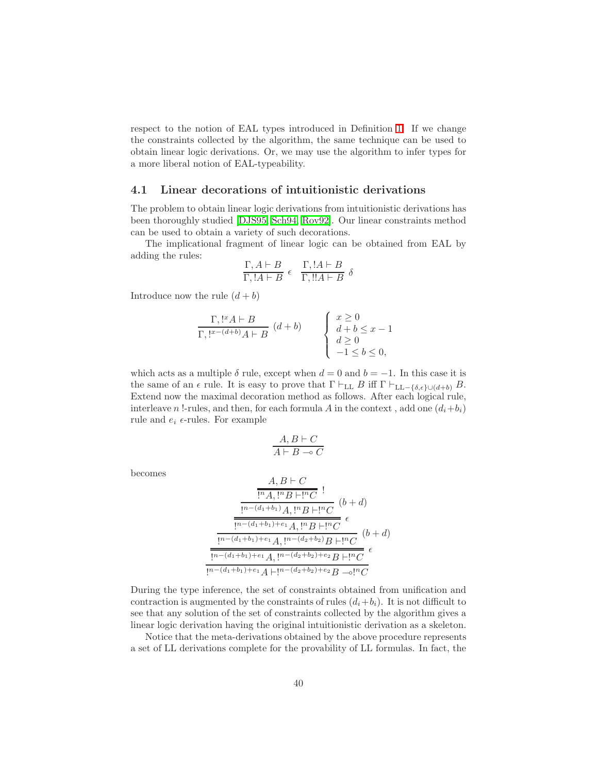respect to the notion of EAL types introduced in Definition [1.](#page-5-3) If we change the constraints collected by the algorithm, the same technique can be used to obtain linear logic derivations. Or, we may use the algorithm to infer types for a more liberal notion of EAL-typeability.

#### <span id="page-39-0"></span>4.1 Linear decorations of intuitionistic derivations

The problem to obtain linear logic derivations from intuitionistic derivations has been thoroughly studied [\[DJS95,](#page-42-5) [Sch94,](#page-42-6) [Rov92\]](#page-42-10). Our linear constraints method can be used to obtain a variety of such decorations.

The implicational fragment of linear logic can be obtained from EAL by adding the rules:

$$
\frac{\Gamma, A \vdash B}{\Gamma, !A \vdash B} \epsilon \quad \frac{\Gamma, !A \vdash B}{\Gamma, !A \vdash B} \delta
$$

Introduce now the rule  $(d + b)$ 

$$
\frac{\Gamma, !^{x}A \vdash B}{\Gamma, !^{x-(d+b)}A \vdash B} (d+b) \qquad \begin{cases} x \ge 0 \\ d+b \le x-1 \\ d \ge 0 \\ -1 \le b \le 0, \end{cases}
$$

which acts as a multiple  $\delta$  rule, except when  $d = 0$  and  $b = -1$ . In this case it is the same of an  $\epsilon$  rule. It is easy to prove that  $\Gamma \vdash_{\text{LL}} B$  iff  $\Gamma \vdash_{\text{LL}-\{\delta,\epsilon\} \cup (d+b)} B$ . Extend now the maximal decoration method as follows. After each logical rule, interleave n !-rules, and then, for each formula A in the context, add one  $(d_i+b_i)$ rule and  $e_i$   $\epsilon$ -rules. For example

$$
\frac{A,B \vdash C}{A \vdash B \multimap C}
$$

becomes

$$
\frac{A, B \vdash C}{\frac{\lbrack n_A, \lbrack n_B \rbrack \lbrack n_C \rbrack}{1^n \cdot (d_1 + b_1) \cdot A, \lbrack n_B \rbrack \lbrack n_C \rbrack} } \cdot (b + d)
$$
\n
$$
\frac{\frac{\lbrack n - (d_1 + b_1) + e_1 \rbrack A, \lbrack n - (d_2 + b_2) \rbrack B \rbrack \lbrack n_C \rbrack}{1^n \cdot (d_1 + b_1) + e_1 \cdot A, \lbrack n - (d_2 + b_2) + e_2 \rbrack B \rbrack \lbrack n_C \rbrack} } \cdot (b + d)
$$
\n
$$
\frac{\lbrack n - (d_1 + b_1) + e_1 \rbrack A, \lbrack n - (d_2 + b_2) + e_2 \rbrack B \rbrack \lbrack n_C \rbrack}{1^n \cdot (d_1 + b_1) + e_1 \cdot A \rbrack \lbrack n - (d_2 + b_2) + e_2 \cdot B \rbrack \lbrack n_C \rbrack}
$$

During the type inference, the set of constraints obtained from unification and contraction is augmented by the constraints of rules  $(d_i+b_i)$ . It is not difficult to see that any solution of the set of constraints collected by the algorithm gives a linear logic derivation having the original intuitionistic derivation as a skeleton.

Notice that the meta-derivations obtained by the above procedure represents a set of LL derivations complete for the provability of LL formulas. In fact, the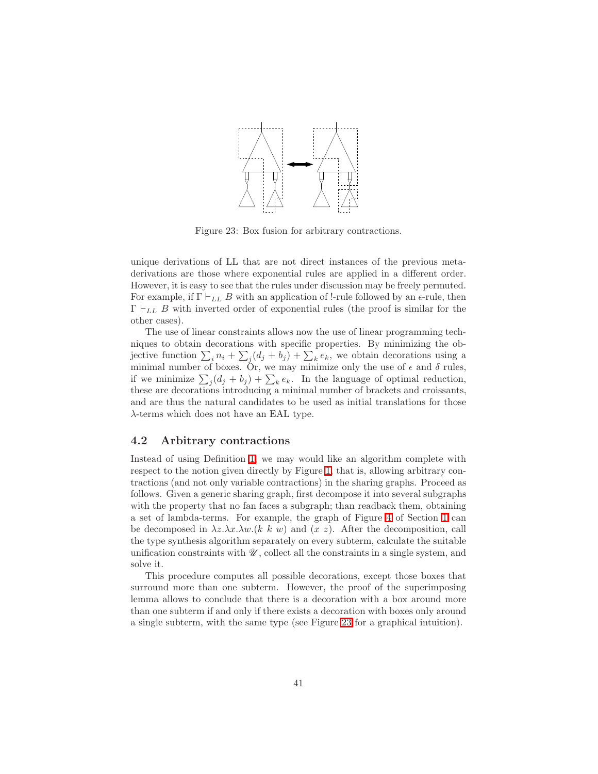

<span id="page-40-0"></span>Figure 23: Box fusion for arbitrary contractions.

unique derivations of LL that are not direct instances of the previous metaderivations are those where exponential rules are applied in a different order. However, it is easy to see that the rules under discussion may be freely permuted. For example, if  $\Gamma \vdash_{LL} B$  with an application of !-rule followed by an  $\epsilon$ -rule, then  $\Gamma \vdash_{LL} B$  with inverted order of exponential rules (the proof is similar for the other cases).

The use of linear constraints allows now the use of linear programming techniques to obtain decorations with specific properties. By minimizing the objective function  $\sum_i n_i + \sum_j (d_j + b_j) + \sum_k e_k$ , we obtain decorations using a minimal number of boxes. Or, we may minimize only the use of  $\epsilon$  and  $\delta$  rules, if we minimize  $\sum_j (d_j + b_j) + \sum_k e_k$ . In the language of optimal reduction, these are decorations introducing a minimal number of brackets and croissants, and are thus the natural candidates to be used as initial translations for those λ-terms which does not have an EAL type.

### 4.2 Arbitrary contractions

Instead of using Definition [1,](#page-5-3) we may would like an algorithm complete with respect to the notion given directly by Figure [1,](#page-2-0) that is, allowing arbitrary contractions (and not only variable contractions) in the sharing graphs. Proceed as follows. Given a generic sharing graph, first decompose it into several subgraphs with the property that no fan faces a subgraph; than readback them, obtaining a set of lambda-terms. For example, the graph of Figure [4](#page-6-1) of Section [1](#page-1-0) can be decomposed in  $\lambda z.\lambda x.\lambda w.(k \; k \; w)$  and  $(x \; z)$ . After the decomposition, call the type synthesis algorithm separately on every subterm, calculate the suitable unification constraints with  $\mathcal{U}$ , collect all the constraints in a single system, and solve it.

This procedure computes all possible decorations, except those boxes that surround more than one subterm. However, the proof of the superimposing lemma allows to conclude that there is a decoration with a box around more than one subterm if and only if there exists a decoration with boxes only around a single subterm, with the same type (see Figure [23](#page-40-0) for a graphical intuition).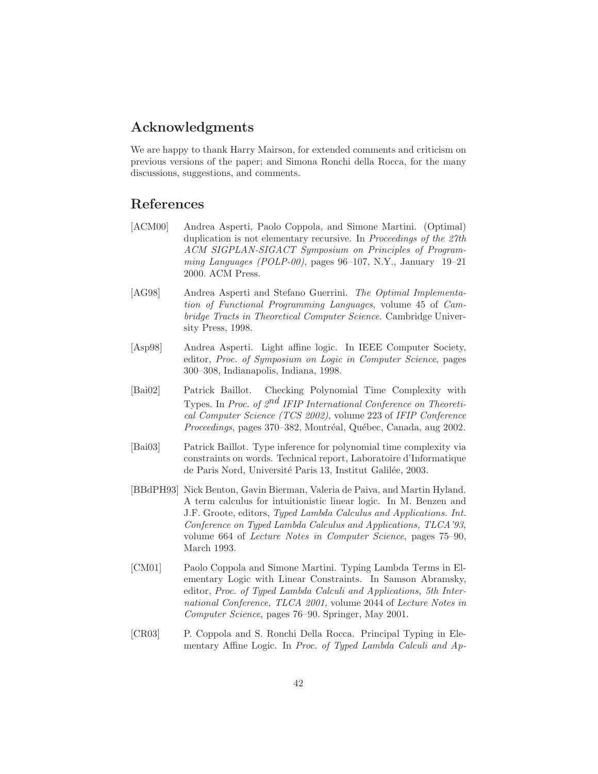### Acknowledgments

We are happy to thank Harry Mairson, for extended comments and criticism on previous versions of the paper; and Simona Ronchi della Rocca, for the many discussions, suggestions, and comments.

### <span id="page-41-2"></span>References

- [ACM00] Andrea Asperti, Paolo Coppola, and Simone Martini. (Optimal) duplication is not elementary recursive. In Proceedings of the 27th ACM SIGPLAN-SIGACT Symposium on Principles of Programming Languages (POLP-00), pages 96–107, N.Y., January 19–21 2000. ACM Press.
- <span id="page-41-0"></span>[AG98] Andrea Asperti and Stefano Guerrini. The Optimal Implementation of Functional Programming Languages, volume 45 of Cambridge Tracts in Theoretical Computer Science. Cambridge University Press, 1998.
- <span id="page-41-1"></span>[Asp98] Andrea Asperti. Light affine logic. In IEEE Computer Society, editor, Proc. of Symposium on Logic in Computer Science, pages 300–308, Indianapolis, Indiana, 1998.
- <span id="page-41-5"></span>[Bai02] Patrick Baillot. Checking Polynomial Time Complexity with Types. In Proc. of  $2^{nd}$  IFIP International Conference on Theoretical Computer Science (TCS 2002), volume 223 of IFIP Conference Proceedings, pages 370-382, Montréal, Québec, Canada, aug 2002.
- <span id="page-41-6"></span>[Bai03] Patrick Baillot. Type inference for polynomial time complexity via constraints on words. Technical report, Laboratoire d'Informatique de Paris Nord, Université Paris 13, Institut Galilée, 2003.
- <span id="page-41-7"></span>[BBdPH93] Nick Benton, Gavin Bierman, Valeria de Paiva, and Martin Hyland. A term calculus for intuitionistic linear logic. In M. Benzen and J.F. Groote, editors, Typed Lambda Calculus and Applications. Int. Conference on Typed Lambda Calculus and Applications, TLCA'93, volume 664 of Lecture Notes in Computer Science, pages 75–90, March 1993.
- <span id="page-41-3"></span>[CM01] Paolo Coppola and Simone Martini. Typing Lambda Terms in Elementary Logic with Linear Constraints. In Samson Abramsky, editor, Proc. of Typed Lambda Calculi and Applications, 5th International Conference, TLCA 2001, volume 2044 of Lecture Notes in Computer Science, pages 76–90. Springer, May 2001.
- <span id="page-41-4"></span>[CR03] P. Coppola and S. Ronchi Della Rocca. Principal Typing in Elementary Affine Logic. In Proc. of Typed Lambda Calculi and Ap-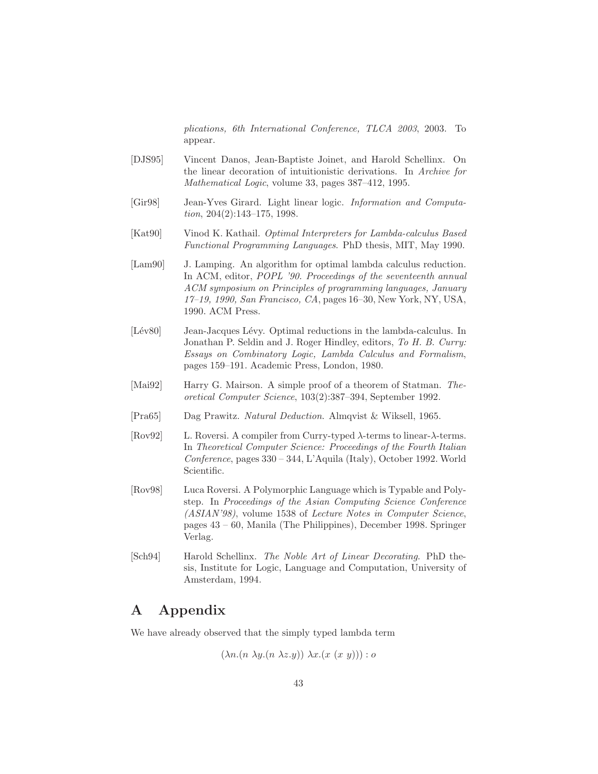plications, 6th International Conference, TLCA 2003, 2003. To appear.

- <span id="page-42-5"></span>[DJS95] Vincent Danos, Jean-Baptiste Joinet, and Harold Schellinx. On the linear decoration of intuitionistic derivations. In Archive for Mathematical Logic, volume 33, pages 387–412, 1995.
- <span id="page-42-3"></span>[Gir98] Jean-Yves Girard. Light linear logic. Information and Computation, 204(2):143–175, 1998.
- <span id="page-42-1"></span>[Kat90] Vinod K. Kathail. Optimal Interpreters for Lambda-calculus Based Functional Programming Languages. PhD thesis, MIT, May 1990.
- <span id="page-42-2"></span>[Lam90] J. Lamping. An algorithm for optimal lambda calculus reduction. In ACM, editor, *POPL* '90. Proceedings of the seventeenth annual ACM symposium on Principles of programming languages, January 17–19, 1990, San Francisco, CA, pages 16–30, New York, NY, USA, 1990. ACM Press.
- <span id="page-42-0"></span>[Lév80] Jean-Jacques Lévy. Optimal reductions in the lambda-calculus. In Jonathan P. Seldin and J. Roger Hindley, editors, To H. B. Curry: Essays on Combinatory Logic, Lambda Calculus and Formalism, pages 159–191. Academic Press, London, 1980.
- <span id="page-42-4"></span>[Mai92] Harry G. Mairson. A simple proof of a theorem of Statman. Theoretical Computer Science, 103(2):387–394, September 1992.
- <span id="page-42-10"></span><span id="page-42-7"></span>[Pra65] Dag Prawitz. Natural Deduction. Almqvist & Wiksell, 1965.
- [Rov92] L. Roversi. A compiler from Curry-typed λ-terms to linear-λ-terms. In Theoretical Computer Science: Proceedings of the Fourth Italian Conference, pages 330 – 344, L'Aquila (Italy), October 1992. World Scientific.
- <span id="page-42-9"></span>[Rov98] Luca Roversi. A Polymorphic Language which is Typable and Polystep. In Proceedings of the Asian Computing Science Conference (ASIAN'98), volume 1538 of Lecture Notes in Computer Science, pages 43 – 60, Manila (The Philippines), December 1998. Springer Verlag.
- <span id="page-42-6"></span>[Sch94] Harold Schellinx. The Noble Art of Linear Decorating. PhD thesis, Institute for Logic, Language and Computation, University of Amsterdam, 1994.

# <span id="page-42-8"></span>A Appendix

We have already observed that the simply typed lambda term

$$
(\lambda n.(n \lambda y.(n \lambda z.y)) \lambda x.(x (x y))) : o
$$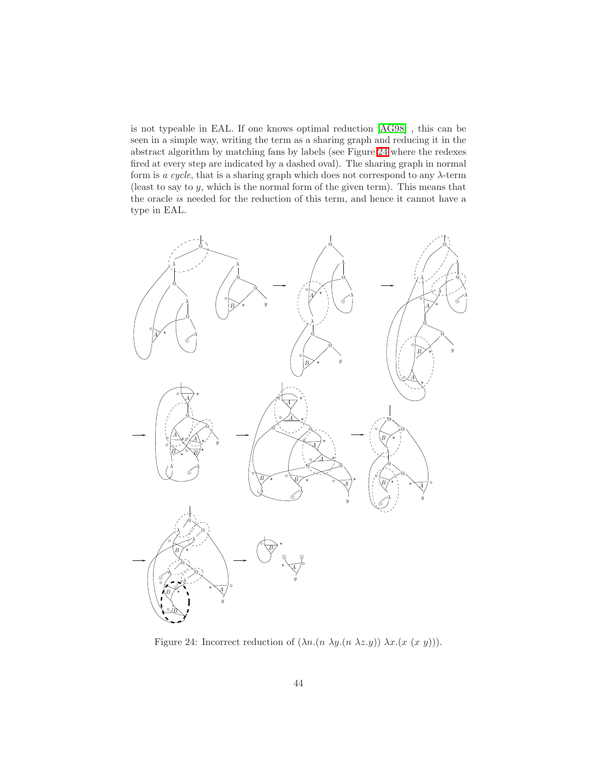is not typeable in EAL. If one knows optimal reduction [\[AG98\]](#page-41-0) , this can be seen in a simple way, writing the term as a sharing graph and reducing it in the abstract algorithm by matching fans by labels (see Figure [24](#page-43-0) where the redexes fired at every step are indicated by a dashed oval). The sharing graph in normal form is a cycle, that is a sharing graph which does not correspond to any  $\lambda$ -term (least to say to  $y$ , which is the normal form of the given term). This means that the oracle is needed for the reduction of this term, and hence it cannot have a type in EAL.



<span id="page-43-0"></span>Figure 24: Incorrect reduction of  $(\lambda n.(n \lambda y.(n \lambda z.y)) \lambda x.(x (x y))).$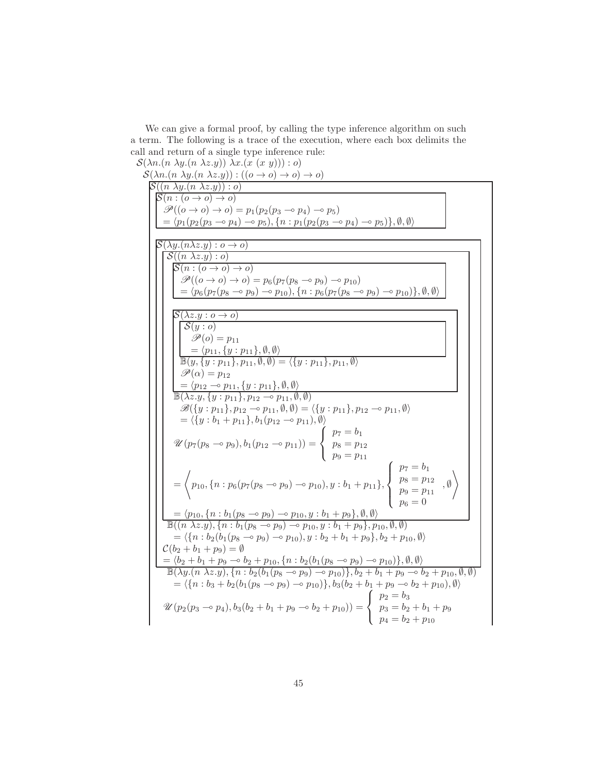We can give a formal proof, by calling the type inference algorithm on such a term. The following is a trace of the execution, where each box delimits the call and return of a single type inference rule:

 $\mathcal{S}(\lambda n.(n \lambda y.(n \lambda z.y)) \lambda x.(x (x y))):o)$ 

 $\mathcal{S}(\lambda n.(n \lambda y.(n \lambda z.y)) : ((o \rightarrow o) \rightarrow o) \rightarrow o)$  $\mathcal{S}((n \lambda y.(n \lambda z.y)) : o)$  $S(n:(o\to o)\to o)$  $\mathscr{P}((o \rightarrow o) \rightarrow o) = p_1(p_2(p_3 \rightarrow o) \rightarrow o)$  $= \langle p_1(p_2(p_3 \multimap p_4) \multimap p_5), \{n : p_1(p_2(p_3 \multimap p_4) \multimap p_5)\}, \emptyset, \emptyset \rangle$  $\mathcal{S}(\lambda y.(n\lambda z.y):o\rightarrow o)$  $\mathcal{S}((n \lambda z.y):o)$  $S(n:(o\to o)\to o)$  $\mathscr{P}((o \to o) \to o) = p_6(p_7(p_8 \multimap p_9) \multimap p_{10})$  $= \langle p_6(p_7(p_8 \rightarrow p_9) \rightarrow p_{10}), \{n : p_6(p_7(p_8 \rightarrow p_9) \rightarrow p_{10})\}, \emptyset, \emptyset \rangle$  $\mathcal{S}(\lambda z.y:o\to o)$  $S(y : o)$  $\mathscr{P}(o) = p_{11}$  $=\langle p_{11}, \{y : p_{11}\}, \emptyset, \emptyset \rangle$  $\mathbb{B}(y,\{y:p_{11}\},p_{11},\emptyset,\emptyset)=\langle \{y:p_{11}\},p_{11},\emptyset\rangle$  $\mathscr{P}(\alpha) = p_{12}$  $=\langle p_{12} \overline{\phantom{a}} \circ p_{11}, \{y : p_{11}\}, \emptyset, \emptyset \rangle$  $\mathbb{B}(\lambda z.y, \{y:p_{11}\}, p_{12}\multimap p_{11}, \emptyset, \emptyset)$  $\mathscr{B}(\{y : p_{11}\}, p_{12} \negthinspace \sim \negthinspace p_{11}, \emptyset, \emptyset) = \langle \{y : p_{11}\}, p_{12} \negthinspace \sim \negthinspace p_{11}, \emptyset \rangle$  $=\langle \{y : b_1 + p_{11}\}, b_1(p_{12} \sim p_{11}), \emptyset \rangle$  $\mathscr{U}(p_7(p_8 \multimap p_9), b_1(p_{12} \multimap p_{11})) =$  $\Gamma$  $\int$  $\mathcal{L}$  $p_7 = b_1$  $p_8 = p_{12}$  $p_9 = p_{11}$ = \*  $p_{10}, \{n : p_6(p_7(p_8 \rightarrow p_9) \rightarrow p_{10}), y : b_1 + p_{11}\},\$  $\sqrt{ }$  $\int$  $\overline{\mathcal{L}}$  $p_7 = b_1$  $p_8 = p_{12}$  $p_9 = p_{11}$  $p_6 = 0$ , ∅  $\setminus$  $=\langle p_{10}, \{n : b_1(p_8 \rightarrow p_9) \rightarrow p_{10}, y : b_1 + p_9\}, \emptyset, \emptyset \rangle$  $\mathbb{B}((n \lambda z.y), \{n : b_1(p_8 \rightarrow p_9) \rightarrow p_{10}, y : b_1 + p_9\}, p_{10}, \emptyset, \emptyset)$  $=\langle \{n : b_2(b_1(p_8 \rightarrow p_9) \rightarrow p_{10}), y : b_2 + b_1 + p_9\}, b_2 + p_{10}, \emptyset \rangle$  $\mathcal{C}(b_2 + b_1 + p_9) = \emptyset$  $= \langle b_2 + b_1 + p_9 - b_2 + p_{10}, \{n : b_2(b_1(p_8 - p_9) - p_{10})\}, \emptyset, \emptyset \rangle$  $\mathbb{B}(\lambda y.(n \lambda z.y), \{n : b_2(b_1(p_8 \sim p_9) \sim p_{10})\}, b_2 + b_1 + p_9 \sim b_2 + p_{10}, \emptyset, \emptyset)$  $=\langle \{n : b_3 + b_2(b_1(p_8 \rightarrow p_9) \rightarrow p_{10})\}, b_3(b_2 + b_1 + p_9 \rightarrow b_2 + p_{10}), \emptyset \rangle$  $\mathscr{U}(p_2(p_3 \multimap p_4), b_3(b_2 + b_1 + p_9 \multimap b_2 + p_{10})) =$  $\sqrt{ }$  $\frac{1}{2}$  $\mathcal{L}$  $p_2 = b_3$  $p_3 = b_2 + b_1 + p_9$  $p_4 = b_2 + p_{10}$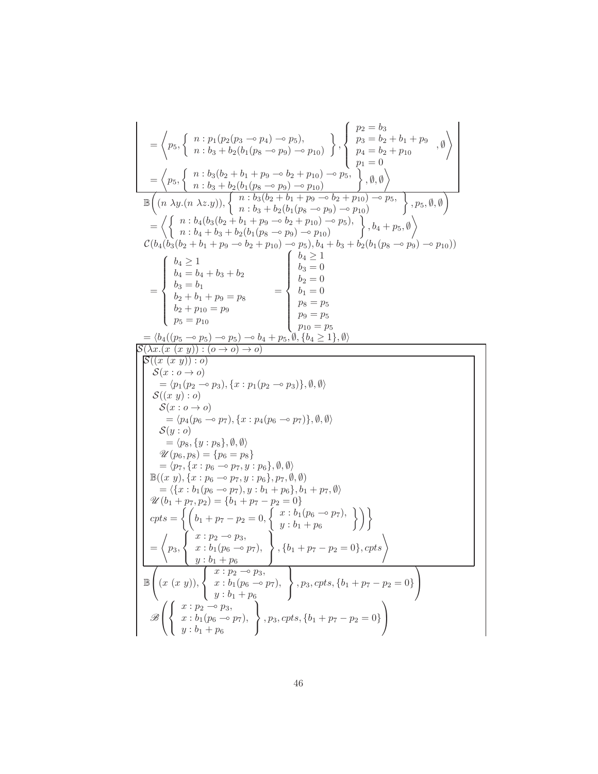$$
\begin{array}{l} \hskip0.5cm =\left\langle p_{5},\left\{ \begin{array}{l} n:p_{1}(p_{2}(p_{3}-p_{4})\rightarrow p_{5}), \\ n:b_{3}+b_{2}(b_{1}(p_{8}\rightarrow p_{9})\rightarrow p_{10}) \end{array} \right\} ,\left\{ \begin{array}{l} p_{2}=b_{3} \\ p_{3}=b_{2}+b_{1}+p_{9} \\ p_{4}=b_{2}+b_{1}+p_{9} \\ p_{1}=0 \end{array} \right. \right. \cr\hskip0.5cm =\left\langle p_{5},\left\{ \begin{array}{l} n:b_{3}(b_{2}+b_{1}+p_{9}\rightarrow p_{10})\rightarrow p_{10} \\ n:b_{2}(b_{1}(p_{8}-p_{9})\rightarrow p_{10})\rightarrow p_{10} \\ n&1,b_{3}+b_{2}(b_{1}(p_{8}-p_{9})\rightarrow p_{10}) \end{array} \right. \right\rangle ,\left\{ p_{5},\emptyset,\emptyset \right) \cr \hskip0.5cm =\left\langle \left\{ \begin{array}{l} n:b_{4}(b_{3}(b_{2}+b_{1}+p_{9}\rightarrow b_{2}+p_{10})\rightarrow p_{5} \\ n&1,b_{3}+b_{2}(b_{1}(p_{8}-p_{9})\rightarrow p_{10}) \end{array} \right. \right\rangle ,b_{4}+p_{5},\emptyset \right\rangle \cr \hskip0.5cm =\left\langle b_{4}(b_{3}(b_{2}+b_{1}+p_{9}\rightarrow b_{2}+p_{10})\rightarrow p_{5}), b_{4}+b_{3}+b_{2}(b_{1}(p_{8}-p_{9})\rightarrow p_{10}) \right) \cr \hskip0.5cm =\left\{ \begin{array}{l} b_{4}\geq 1 \\ b_{4}=b_{4}+b_{3}+b_{2} \\ b_{5}=b_{1} \\ b_{2}=b_{1} \end{array} \right. \end{array} \right. \cr =\left\{ \begin{array}{l} b_{4}\geq 1 \\ b_{4}\geq 1 \\ b_{5}=b_{1} \end{array} \right. \cr \hskip0.5cm =\left\{ p_{5} \end{array} \right. \cr \hskip0.5cm =\left\langle p_{5} \left( p_{6}-p_{7}\right), \{x:p_{1}(p_{2}-p_{3})\}, \emptyset,\emptyset \right\rangle \cr \h
$$